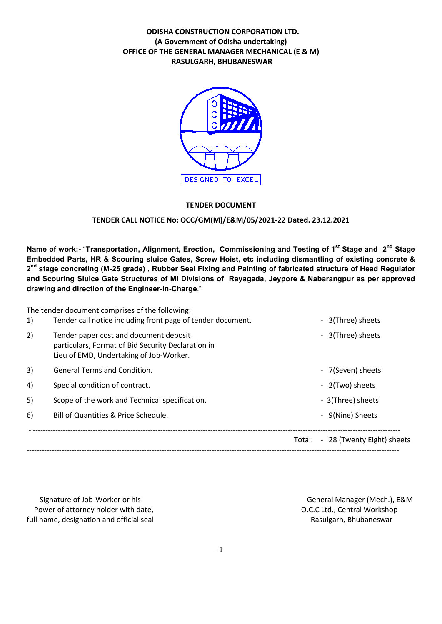# ODISHA CONSTRUCTION CORPORATION LTD. (A Government of Odisha undertaking) OFFICE OF THE GENERAL MANAGER MECHANICAL (E & M) RASULGARH, BHUBANESWAR



### TENDER DOCUMENT

### TENDER CALL NOTICE No: OCC/GM(M)/E&M/05/2021-22 Dated. 23.12.2021

Name of work:- "Transportation, Alignment, Erection, Commissioning and Testing of 1<sup>st</sup> Stage and 2<sup>nd</sup> Stage Embedded Parts, HR & Scouring sluice Gates, Screw Hoist, etc including dismantling of existing concrete & 2<sup>nd</sup> stage concreting (M-25 grade), Rubber Seal Fixing and Painting of fabricated structure of Head Regulator and Scouring Sluice Gate Structures of MI Divisions of Rayagada, Jeypore & Nabarangpur as per approved drawing and direction of the Engineer-in-Charge."

|    | The tender document comprises of the following:                                                                                         |  |                                   |
|----|-----------------------------------------------------------------------------------------------------------------------------------------|--|-----------------------------------|
| 1) | Tender call notice including front page of tender document.                                                                             |  | - 3(Three) sheets                 |
| 2) | Tender paper cost and document deposit<br>particulars, Format of Bid Security Declaration in<br>Lieu of EMD, Undertaking of Job-Worker. |  | - 3(Three) sheets                 |
| 3) | <b>General Terms and Condition.</b>                                                                                                     |  | - 7(Seven) sheets                 |
| 4) | Special condition of contract.                                                                                                          |  | - 2(Two) sheets                   |
| 5) | Scope of the work and Technical specification.                                                                                          |  | - 3(Three) sheets                 |
| 6) | Bill of Quantities & Price Schedule.                                                                                                    |  | - 9(Nine) Sheets                  |
|    |                                                                                                                                         |  | Total: - 28 (Twenty Eight) sheets |

Signature of Job-Worker or his General Manager (Mech.), E&M Power of attorney holder with date,  $O.C.C.L.d., Central Workshop$ full name, designation and official seal Rasulgarh, Bhubaneswar Rasulgarh, Bhubaneswar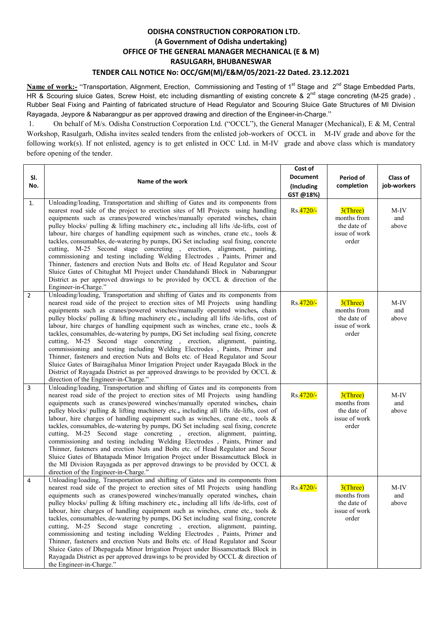# ODISHA CONSTRUCTION CORPORATION LTD. (A Government of Odisha undertaking) OFFICE OF THE GENERAL MANAGER MECHANICAL (E & M) RASULGARH, BHUBANESWAR TENDER CALL NOTICE No: OCC/GM(M)/E&M/05/2021-22 Dated. 23.12.2021

Name of work:- "Transportation, Alignment, Erection, Commissioning and Testing of 1<sup>st</sup> Stage and 2<sup>nd</sup> Stage Embedded Parts, HR & Scouring sluice Gates, Screw Hoist, etc including dismantling of existing concrete & 2<sup>nd</sup> stage concreting (M-25 grade), Rubber Seal Fixing and Painting of fabricated structure of Head Regulator and Scouring Sluice Gate Structures of MI Division Rayagada, Jeypore & Nabarangpur as per approved drawing and direction of the Engineer-in-Charge."

1. On behalf of M/s. Odisha Construction Corporation Ltd. ("OCCL"), the General Manager (Mechanical), E & M, Central Workshop, Rasulgarh, Odisha invites sealed tenders from the enlisted job-workers of OCCL in M-IV grade and above for the following work(s). If not enlisted, agency is to get enlisted in OCC Ltd. in M-IV grade and above class which is mandatory before opening of the tender.

| SI.<br>No.     | Name of the work                                                                                                                                                                                                                                                                                                                                                                                                                                                                                                                                                                                                                                                                                                                                                                                                                                                                                                                                                                        | Cost of<br><b>Document</b><br>(Including<br>GST @18%) | Period of<br>completion                                             | Class of<br>job-workers |
|----------------|-----------------------------------------------------------------------------------------------------------------------------------------------------------------------------------------------------------------------------------------------------------------------------------------------------------------------------------------------------------------------------------------------------------------------------------------------------------------------------------------------------------------------------------------------------------------------------------------------------------------------------------------------------------------------------------------------------------------------------------------------------------------------------------------------------------------------------------------------------------------------------------------------------------------------------------------------------------------------------------------|-------------------------------------------------------|---------------------------------------------------------------------|-------------------------|
| 1.             | Unloading/loading, Transportation and shifting of Gates and its components from<br>nearest road side of the project to erection sites of MI Projects using handling<br>equipments such as cranes/powered winches/manually operated winches, chain<br>pulley blocks/ pulling & lifting machinery etc., including all lifts /de-lifts, cost of<br>labour, hire charges of handling equipment such as winches, crane etc., tools $\&$<br>tackles, consumables, de-watering by pumps, DG Set including seal fixing, concrete<br>cutting, M-25 Second stage concreting , erection, alignment, painting,<br>commissioning and testing including Welding Electrodes , Paints, Primer and<br>Thinner, fasteners and erection Nuts and Bolts etc. of Head Regulator and Scour<br>Sluice Gates of Chitughat MI Project under Chandahandi Block in Nabarangpur<br>District as per approved drawings to be provided by OCCL $\&$ direction of the<br>Engineer-in-Charge."                           | Rs. 4720/-                                            | $3$ (Three)<br>months from<br>the date of<br>issue of work<br>order | M-IV<br>and<br>above    |
| $\overline{2}$ | Unloading/loading, Transportation and shifting of Gates and its components from<br>nearest road side of the project to erection sites of MI Projects using handling<br>equipments such as cranes/powered winches/manually operated winches, chain<br>pulley blocks/ pulling & lifting machinery etc., including all lifts /de-lifts, cost of<br>labour, hire charges of handling equipment such as winches, crane etc., tools $\&$<br>tackles, consumables, de-watering by pumps, DG Set including seal fixing, concrete<br>cutting, M-25 Second stage concreting, erection, alignment, painting,<br>commissioning and testing including Welding Electrodes , Paints, Primer and<br>Thinner, fasteners and erection Nuts and Bolts etc. of Head Regulator and Scour<br>Sluice Gates of Bairagihalua Minor Irrigation Project under Rayagada Block in the<br>District of Rayagada District as per approved drawings to be provided by OCCL $\&$<br>direction of the Engineer-in-Charge." | Rs. 4720/-                                            | $3$ (Three)<br>months from<br>the date of<br>issue of work<br>order | M-IV<br>and<br>above    |
| $\overline{3}$ | Unloading/loading, Transportation and shifting of Gates and its components from<br>nearest road side of the project to erection sites of MI Projects using handling<br>equipments such as cranes/powered winches/manually operated winches, chain<br>pulley blocks/ pulling & lifting machinery etc., including all lifts /de-lifts, cost of<br>labour, hire charges of handling equipment such as winches, crane etc., tools $\&$<br>tackles, consumables, de-watering by pumps, DG Set including seal fixing, concrete<br>cutting, M-25 Second stage concreting, erection, alignment, painting,<br>commissioning and testing including Welding Electrodes , Paints, Primer and<br>Thinner, fasteners and erection Nuts and Bolts etc. of Head Regulator and Scour<br>Sluice Gates of Bhatapada Minor Irrigation Project under Bissamcuttack Block in<br>the MI Division Rayagada as per approved drawings to be provided by OCCL $\&$<br>direction of the Engineer-in-Charge."        | Rs. 4720/-                                            | $3$ (Three)<br>months from<br>the date of<br>issue of work<br>order | M-IV<br>and<br>above    |
| $\overline{4}$ | Unloading/loading, Transportation and shifting of Gates and its components from<br>nearest road side of the project to erection sites of MI Projects using handling<br>equipments such as cranes/powered winches/manually operated winches, chain<br>pulley blocks/ pulling & lifting machinery etc., including all lifts /de-lifts, cost of<br>labour, hire charges of handling equipment such as winches, crane etc., tools $\&$<br>tackles, consumables, de-watering by pumps, DG Set including seal fixing, concrete<br>cutting, M-25 Second stage concreting, erection, alignment, painting,<br>commissioning and testing including Welding Electrodes , Paints, Primer and<br>Thinner, fasteners and erection Nuts and Bolts etc. of Head Regulator and Scour<br>Sluice Gates of Dhepaguda Minor Irrigation Project under Bissamcuttack Block in<br>Rayagada District as per approved drawings to be provided by OCCL & direction of<br>the Engineer-in-Charge."                  | Rs.4720/-                                             | $3$ (Three)<br>months from<br>the date of<br>issue of work<br>order | M-IV<br>and<br>above    |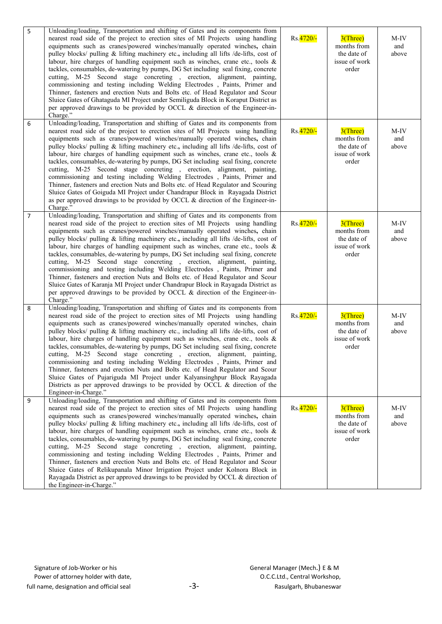| 5              | Unloading/loading, Transportation and shifting of Gates and its components from<br>nearest road side of the project to erection sites of MI Projects using handling<br>equipments such as cranes/powered winches/manually operated winches, chain<br>pulley blocks/ pulling & lifting machinery etc., including all lifts /de-lifts, cost of<br>labour, hire charges of handling equipment such as winches, crane etc., tools &<br>tackles, consumables, de-watering by pumps, DG Set including seal fixing, concrete<br>cutting, M-25 Second stage concreting, erection, alignment, painting,<br>commissioning and testing including Welding Electrodes , Paints, Primer and<br>Thinner, fasteners and erection Nuts and Bolts etc. of Head Regulator and Scour<br>Sluice Gates of Ghataguda MI Project under Semiliguda Block in Koraput District as<br>per approved drawings to be provided by OCCL & direction of the Engineer-in-<br>Charge."               | Rs. 4720/- | $3$ (Three)<br>months from<br>the date of<br>issue of work<br>order | M-IV<br>and<br>above |
|----------------|------------------------------------------------------------------------------------------------------------------------------------------------------------------------------------------------------------------------------------------------------------------------------------------------------------------------------------------------------------------------------------------------------------------------------------------------------------------------------------------------------------------------------------------------------------------------------------------------------------------------------------------------------------------------------------------------------------------------------------------------------------------------------------------------------------------------------------------------------------------------------------------------------------------------------------------------------------------|------------|---------------------------------------------------------------------|----------------------|
| 6              | Unloading/loading, Transportation and shifting of Gates and its components from<br>nearest road side of the project to erection sites of MI Projects using handling<br>equipments such as cranes/powered winches/manually operated winches, chain<br>pulley blocks/ pulling & lifting machinery etc., including all lifts /de-lifts, cost of<br>labour, hire charges of handling equipment such as winches, crane etc., tools $\&$<br>tackles, consumables, de-watering by pumps, DG Set including seal fixing, concrete<br>cutting, M-25 Second stage concreting, erection, alignment, painting,<br>commissioning and testing including Welding Electrodes , Paints, Primer and<br>Thinner, fasteners and erection Nuts and Bolts etc. of Head Regulator and Scouring<br>Sluice Gates of Goiguda MI Project under Chandrapur Block in Rayagada District<br>as per approved drawings to be provided by OCCL & direction of the Engineer-in-<br>Charge."          | Rs.4720/-  | $3$ (Three)<br>months from<br>the date of<br>issue of work<br>order | M-IV<br>and<br>above |
| $\overline{7}$ | Unloading/loading, Transportation and shifting of Gates and its components from<br>nearest road side of the project to erection sites of MI Projects using handling<br>equipments such as cranes/powered winches/manually operated winches, chain<br>pulley blocks/ pulling & lifting machinery etc., including all lifts /de-lifts, cost of<br>labour, hire charges of handling equipment such as winches, crane etc., tools $\&$<br>tackles, consumables, de-watering by pumps, DG Set including seal fixing, concrete<br>cutting, M-25 Second stage concreting, erection, alignment, painting,<br>commissioning and testing including Welding Electrodes , Paints, Primer and<br>Thinner, fasteners and erection Nuts and Bolts etc. of Head Regulator and Scour<br>Sluice Gates of Karanja MI Project under Chandrapur Block in Rayagada District as<br>per approved drawings to be provided by OCCL & direction of the Engineer-in-<br>Charge."             | Rs. 4720/- | $3$ (Three)<br>months from<br>the date of<br>issue of work<br>order | M-IV<br>and<br>above |
| 8              | Unloading/loading, Transportation and shifting of Gates and its components from<br>nearest road side of the project to erection sites of MI Projects using handling<br>equipments such as cranes/powered winches/manually operated winches, chain<br>pulley blocks/ pulling & lifting machinery etc., including all lifts /de-lifts, cost of<br>labour, hire charges of handling equipment such as winches, crane etc., tools $\&$<br>tackles, consumables, de-watering by pumps, DG Set including seal fixing, concrete<br>cutting, M-25 Second stage concreting, erection, alignment, painting,<br>commissioning and testing including Welding Electrodes , Paints, Primer and<br>Thinner, fasteners and erection Nuts and Bolts etc. of Head Regulator and Scour<br>Sluice Gates of Pujariguda MI Project under Kalyansinghpur Block Rayagada<br>Districts as per approved drawings to be provided by OCCL $\&$ direction of the<br>Engineer-in-Charge."      | Rs.4720/-  | $3$ (Three)<br>months from<br>the date of<br>issue of work<br>order | M-IV<br>and<br>above |
| 9              | Unloading/loading, Transportation and shifting of Gates and its components from<br>nearest road side of the project to erection sites of MI Projects using handling<br>equipments such as cranes/powered winches/manually operated winches, chain<br>pulley blocks/ pulling & lifting machinery etc., including all lifts /de-lifts, cost of<br>labour, hire charges of handling equipment such as winches, crane etc., tools &<br>tackles, consumables, de-watering by pumps, DG Set including seal fixing, concrete<br>cutting, M-25 Second stage concreting, erection, alignment, painting,<br>commissioning and testing including Welding Electrodes , Paints, Primer and<br>Thinner, fasteners and erection Nuts and Bolts etc. of Head Regulator and Scour<br>Sluice Gates of Relikupanala Minor Irrigation Project under Kolnora Block in<br>Rayagada District as per approved drawings to be provided by OCCL & direction of<br>the Engineer-in-Charge." | Rs. 4720/- | $3$ (Three)<br>months from<br>the date of<br>issue of work<br>order | M-IV<br>and<br>above |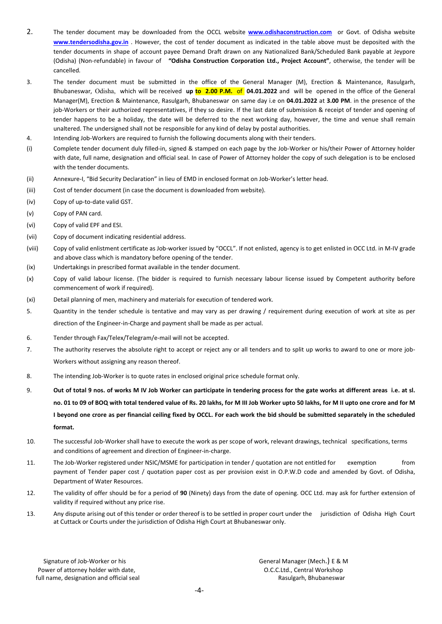- 2. The tender document may be downloaded from the OCCL website **[www.odishaconstruction.com](http://www.odishaconstruction.com/)** or Govt. of Odisha website [www.tendersodisha.gov.in](http://www.tendersodisha.gov.in/) . However, the cost of tender document as indicated in the table above must be deposited with the tender documents in shape of account payee Demand Draft drawn on any Nationalized Bank/Scheduled Bank payable at Jeypore (Odisha) (Non-refundable) in favour of "Odisha Construction Corporation Ltd., Project Account", otherwise, the tender will be cancelled.
- 3. The tender document must be submitted in the office of the General Manager (M), Erection & Maintenance, Rasulgarh, Bhubaneswar, Odisha, which will be received up to 2.00 P.M. of 04.01.2022 and will be opened in the office of the General Manager(M), Erection & Maintenance, Rasulgarh, Bhubaneswar on same day i.e on 04.01.2022 at 3.00 PM. in the presence of the job-Workers or their authorized representatives, if they so desire. If the last date of submission & receipt of tender and opening of tender happens to be a holiday, the date will be deferred to the next working day, however, the time and venue shall remain unaltered. The undersigned shall not be responsible for any kind of delay by postal authorities.
- 4. Intending Job-Workers are required to furnish the following documents along with their tenders.
- (i) Complete tender document duly filled-in, signed & stamped on each page by the Job-Worker or his/their Power of Attorney holder with date, full name, designation and official seal. In case of Power of Attorney holder the copy of such delegation is to be enclosed with the tender documents.
- (ii) Annexure-I, "Bid Security Declaration" in lieu of EMD in enclosed format on Job-Worker's letter head.
- (iii) Cost of tender document (in case the document is downloaded from website).
- (iv) Copy of up-to-date valid GST.
- (v) Copy of PAN card.
- (vi) Copy of valid EPF and ESI.
- (vii) Copy of document indicating residential address.
- (viii) Copy of valid enlistment certificate as Job-worker issued by "OCCL". If not enlisted, agency is to get enlisted in OCC Ltd. in M-IV grade and above class which is mandatory before opening of the tender.
- (ix) Undertakings in prescribed format available in the tender document.
- (x) Copy of valid labour license. (The bidder is required to furnish necessary labour license issued by Competent authority before commencement of work if required).
- (xi) Detail planning of men, machinery and materials for execution of tendered work.
- 5. Quantity in the tender schedule is tentative and may vary as per drawing / requirement during execution of work at site as per direction of the Engineer-in-Charge and payment shall be made as per actual.
- 6. Tender through Fax/Telex/Telegram/e-mail will not be accepted.
- 7. The authority reserves the absolute right to accept or reject any or all tenders and to split up works to award to one or more job-Workers without assigning any reason thereof.
- 8. The intending Job-Worker is to quote rates in enclosed original price schedule format only.
- 9. Out of total 9 nos. of works M IV Job Worker can participate in tendering process for the gate works at different areas i.e. at sl. no. 01 to 09 of BOQ with total tendered value of Rs. 20 lakhs, for M III Job Worker upto 50 lakhs, for M II upto one crore and for M I beyond one crore as per financial ceiling fixed by OCCL. For each work the bid should be submitted separately in the scheduled format.
- 10. The successful Job-Worker shall have to execute the work as per scope of work, relevant drawings, technical specifications, terms and conditions of agreement and direction of Engineer-in-charge.
- 11. The Job-Worker registered under NSIC/MSME for participation in tender / quotation are not entitled for exemption from payment of Tender paper cost / quotation paper cost as per provision exist in O.P.W.D code and amended by Govt. of Odisha, Department of Water Resources.
- 12. The validity of offer should be for a period of 90 (Ninety) days from the date of opening. OCC Ltd. may ask for further extension of validity if required without any price rise.
- 13. Any dispute arising out of this tender or order thereof is to be settled in proper court under the jurisdiction of Odisha High Court at Cuttack or Courts under the jurisdiction of Odisha High Court at Bhubaneswar only.

Signature of Job-Worker or his General Manager (Mech.) E & M Power of attorney holder with date,  $O.C.C.L.d.,$  Central Workshop full name, designation and official seal Rasulgarh, Bhubaneswar Rasulgarh, Bhubaneswar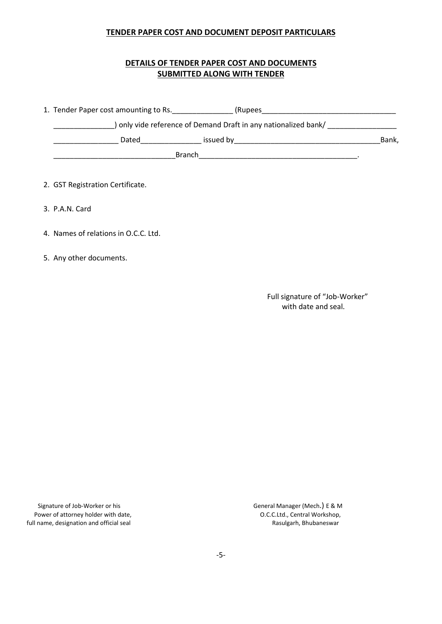### TENDER PAPER COST AND DOCUMENT DEPOSIT PARTICULARS

# DETAILS OF TENDER PAPER COST AND DOCUMENTS SUBMITTED ALONG WITH TENDER

| 1. Tender Paper cost amounting to Rs. | (Rupees                                                       |       |
|---------------------------------------|---------------------------------------------------------------|-------|
|                                       | only vide reference of Demand Draft in any nationalized bank/ |       |
| Dated                                 | issued by                                                     | Bank, |
|                                       | <b>Branch</b>                                                 |       |

- 2. GST Registration Certificate.
- 3. P.A.N. Card
- 4. Names of relations in O.C.C. Ltd.
- 5. Any other documents.

Full signature of "Job-Worker" with date and seal.

Signature of Job-Worker or his General Manager (Mech.) E & M<br>Power of attorney holder with date,  $O.C.C.Ltd., Central Workshop,$ Power of attorney holder with date,<br>
Il name, designation and official seal<br>
Il name, designation and official seal<br>
Sasulgarh, Bhubaneswar full name, designation and official seal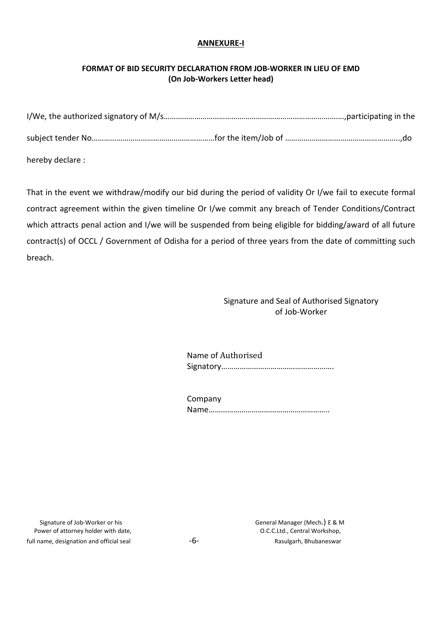### ANNEXURE-I

# FORMAT OF BID SECURITY DECLARATION FROM JOB-WORKER IN LIEU OF EMD (On Job-Workers Letter head)

| hereby declare: |  |  |  |
|-----------------|--|--|--|

That in the event we withdraw/modify our bid during the period of validity Or I/we fail to execute formal contract agreement within the given timeline Or I/we commit any breach of Tender Conditions/Contract which attracts penal action and I/we will be suspended from being eligible for bidding/award of all future contract(s) of OCCL / Government of Odisha for a period of three years from the date of committing such breach.

> Signature and Seal of Authorised Signatory of Job-Worker

Name of Authorised Signatory……………………………………………….

| Company |  |
|---------|--|
|         |  |

Signature of Job-Worker or his General Manager (Mech.) E & M<br>Sover of attorney holder with date, General Manager (Mech.) E & M Power of attorney holder with date, full name, designation and official seal example  $-6-$  Rasulgarh, Bhubaneswar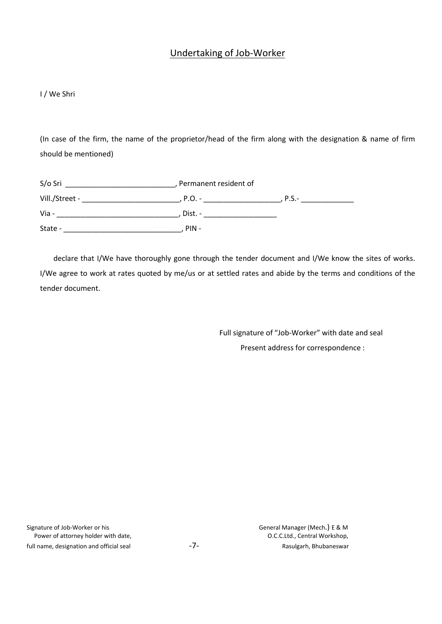# Undertaking of Job-Worker

#### I / We Shri

(In case of the firm, the name of the proprietor/head of the firm along with the designation & name of firm should be mentioned)

| S/o Sri        | Permanent resident of |         |
|----------------|-----------------------|---------|
| Vill./Street - | , P.O. -              | $P.S.-$ |
| Via -          | Dist. -               |         |
| State -        | $PIN -$               |         |

declare that I/We have thoroughly gone through the tender document and I/We know the sites of works. I/We agree to work at rates quoted by me/us or at settled rates and abide by the terms and conditions of the tender document.

> Full signature of "Job-Worker" with date and seal Present address for correspondence :

Signature of Job-Worker or his **Signature of Job-Worker or his Community** General Manager (Mech.) E & M Power of attorney holder with date,  $O.C.C.L.d.,$  Central Workshop, full name, designation and official seal example  $-7-$  and  $-7-$  Rasulgarh, Bhubaneswar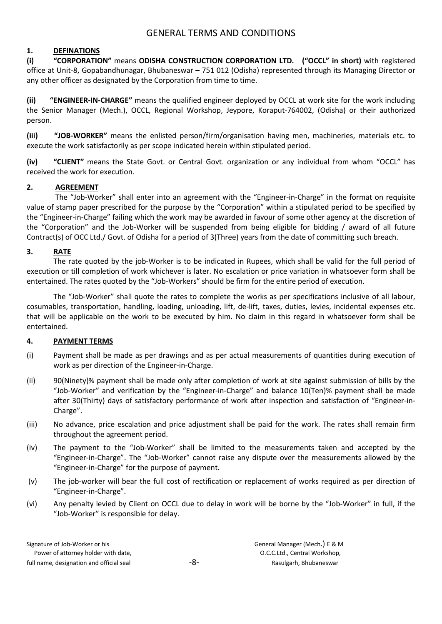# GENERAL TERMS AND CONDITIONS

# 1. DEFINATIONS

(i) "CORPORATION" means ODISHA CONSTRUCTION CORPORATION LTD. ("OCCL" in short) with registered office at Unit-8, Gopabandhunagar, Bhubaneswar – 751 012 (Odisha) represented through its Managing Director or any other officer as designated by the Corporation from time to time.

(ii) "ENGINEER-IN-CHARGE" means the qualified engineer deployed by OCCL at work site for the work including the Senior Manager (Mech.), OCCL, Regional Workshop, Jeypore, Koraput-764002, (Odisha) or their authorized person.

(iii) "JOB-WORKER" means the enlisted person/firm/organisation having men, machineries, materials etc. to execute the work satisfactorily as per scope indicated herein within stipulated period.

(iv) "CLIENT" means the State Govt. or Central Govt. organization or any individual from whom "OCCL" has received the work for execution.

# 2. AGREEMENT

The "Job-Worker" shall enter into an agreement with the "Engineer-in-Charge" in the format on requisite value of stamp paper prescribed for the purpose by the "Corporation" within a stipulated period to be specified by the "Engineer-in-Charge" failing which the work may be awarded in favour of some other agency at the discretion of the "Corporation" and the Job-Worker will be suspended from being eligible for bidding / award of all future Contract(s) of OCC Ltd./ Govt. of Odisha for a period of 3(Three) years from the date of committing such breach.

### 3. RATE

The rate quoted by the job-Worker is to be indicated in Rupees, which shall be valid for the full period of execution or till completion of work whichever is later. No escalation or price variation in whatsoever form shall be entertained. The rates quoted by the "Job-Workers" should be firm for the entire period of execution.

The "Job-Worker" shall quote the rates to complete the works as per specifications inclusive of all labour, cosumables, transportation, handling, loading, unloading, lift, de-lift, taxes, duties, levies, incidental expenses etc. that will be applicable on the work to be executed by him. No claim in this regard in whatsoever form shall be entertained.

# 4. PAYMENT TERMS

- (i) Payment shall be made as per drawings and as per actual measurements of quantities during execution of work as per direction of the Engineer-in-Charge.
- (ii) 90(Ninety)% payment shall be made only after completion of work at site against submission of bills by the "Job-Worker" and verification by the "Engineer-in-Charge" and balance 10(Ten)% payment shall be made after 30(Thirty) days of satisfactory performance of work after inspection and satisfaction of "Engineer-in-Charge".
- (iii) No advance, price escalation and price adjustment shall be paid for the work. The rates shall remain firm throughout the agreement period.
- (iv) The payment to the "Job-Worker" shall be limited to the measurements taken and accepted by the "Engineer-in-Charge". The "Job-Worker" cannot raise any dispute over the measurements allowed by the "Engineer-in-Charge" for the purpose of payment.
- (v) The job-worker will bear the full cost of rectification or replacement of works required as per direction of "Engineer-in-Charge".
- (vi) Any penalty levied by Client on OCCL due to delay in work will be borne by the "Job-Worker" in full, if the "Job-Worker" is responsible for delay.

| Signature of Job-Worker or his           |     | General Manager (Mech.) E & M |
|------------------------------------------|-----|-------------------------------|
| Power of attorney holder with date,      |     | O.C.C.Ltd., Central Workshop, |
| full name, designation and official seal | -8- | Rasulgarh, Bhubaneswar        |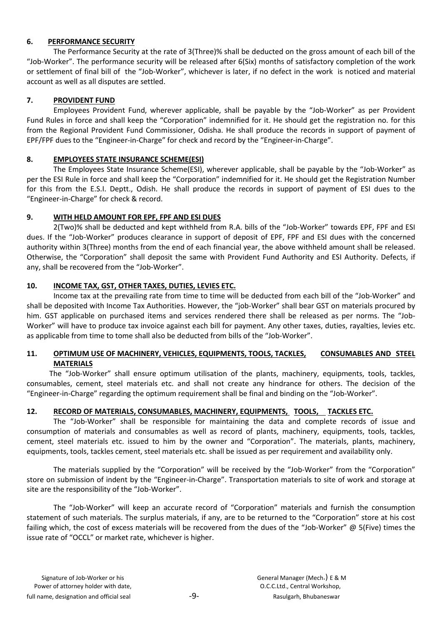# 6. PERFORMANCE SECURITY

The Performance Security at the rate of 3(Three)% shall be deducted on the gross amount of each bill of the "Job-Worker". The performance security will be released after 6(Six) months of satisfactory completion of the work or settlement of final bill of the "Job-Worker", whichever is later, if no defect in the work is noticed and material account as well as all disputes are settled.

# 7. PROVIDENT FUND

Employees Provident Fund, wherever applicable, shall be payable by the "Job-Worker" as per Provident Fund Rules in force and shall keep the "Corporation" indemnified for it. He should get the registration no. for this from the Regional Provident Fund Commissioner, Odisha. He shall produce the records in support of payment of EPF/FPF dues to the "Engineer-in-Charge" for check and record by the "Engineer-in-Charge".

# 8. EMPLOYEES STATE INSURANCE SCHEME(ESI)

The Employees State Insurance Scheme(ESI), wherever applicable, shall be payable by the "Job-Worker" as per the ESI Rule in force and shall keep the "Corporation" indemnified for it. He should get the Registration Number for this from the E.S.I. Deptt., Odish. He shall produce the records in support of payment of ESI dues to the "Engineer-in-Charge" for check & record.

# 9. WITH HELD AMOUNT FOR EPF, FPF AND ESI DUES

2(Two)% shall be deducted and kept withheld from R.A. bills of the "Job-Worker" towards EPF, FPF and ESI dues. If the "Job-Worker" produces clearance in support of deposit of EPF, FPF and ESI dues with the concerned authority within 3(Three) months from the end of each financial year, the above withheld amount shall be released. Otherwise, the "Corporation" shall deposit the same with Provident Fund Authority and ESI Authority. Defects, if any, shall be recovered from the "Job-Worker".

# 10. INCOME TAX, GST, OTHER TAXES, DUTIES, LEVIES ETC.

Income tax at the prevailing rate from time to time will be deducted from each bill of the "Job-Worker" and shall be deposited with Income Tax Authorities. However, the "job-Worker" shall bear GST on materials procured by him. GST applicable on purchased items and services rendered there shall be released as per norms. The "Job-Worker" will have to produce tax invoice against each bill for payment. Any other taxes, duties, rayalties, levies etc. as applicable from time to tome shall also be deducted from bills of the "Job-Worker".

# 11. OPTIMUM USE OF MACHINERY, VEHICLES, EQUIPMENTS, TOOLS, TACKLES, CONSUMABLES AND STEEL MATERIALS

 The "Job-Worker" shall ensure optimum utilisation of the plants, machinery, equipments, tools, tackles, consumables, cement, steel materials etc. and shall not create any hindrance for others. The decision of the "Engineer-in-Charge" regarding the optimum requirement shall be final and binding on the "Job-Worker".

# 12. RECORD OF MATERIALS, CONSUMABLES, MACHINERY, EQUIPMENTS, TOOLS, TACKLES ETC.

The "Job-Worker" shall be responsible for maintaining the data and complete records of issue and consumption of materials and consumables as well as record of plants, machinery, equipments, tools, tackles, cement, steel materials etc. issued to him by the owner and "Corporation". The materials, plants, machinery, equipments, tools, tackles cement, steel materials etc. shall be issued as per requirement and availability only.

The materials supplied by the "Corporation" will be received by the "Job-Worker" from the "Corporation" store on submission of indent by the "Engineer-in-Charge". Transportation materials to site of work and storage at site are the responsibility of the "Job-Worker".

The "Job-Worker" will keep an accurate record of "Corporation" materials and furnish the consumption statement of such materials. The surplus materials, if any, are to be returned to the "Corporation" store at his cost failing which, the cost of excess materials will be recovered from the dues of the "Job-Worker" @ 5(Five) times the issue rate of "OCCL" or market rate, whichever is higher.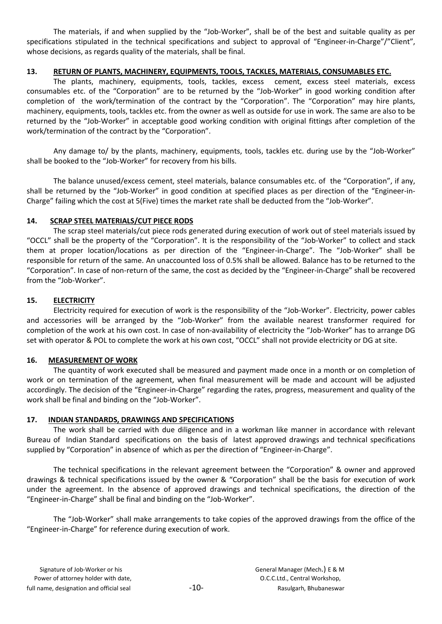The materials, if and when supplied by the "Job-Worker", shall be of the best and suitable quality as per specifications stipulated in the technical specifications and subject to approval of "Engineer-in-Charge"/"Client", whose decisions, as regards quality of the materials, shall be final.

# 13. RETURN OF PLANTS, MACHINERY, EQUIPMENTS, TOOLS, TACKLES, MATERIALS, CONSUMABLES ETC.

The plants, machinery, equipments, tools, tackles, excess cement, excess steel materials, excess consumables etc. of the "Corporation" are to be returned by the "Job-Worker" in good working condition after completion of the work/termination of the contract by the "Corporation". The "Corporation" may hire plants, machinery, equipments, tools, tackles etc. from the owner as well as outside for use in work. The same are also to be returned by the "Job-Worker" in acceptable good working condition with original fittings after completion of the work/termination of the contract by the "Corporation".

Any damage to/ by the plants, machinery, equipments, tools, tackles etc. during use by the "Job-Worker" shall be booked to the "Job-Worker" for recovery from his bills.

The balance unused/excess cement, steel materials, balance consumables etc. of the "Corporation", if any, shall be returned by the "Job-Worker" in good condition at specified places as per direction of the "Engineer-in-Charge" failing which the cost at 5(Five) times the market rate shall be deducted from the "Job-Worker".

# 14. SCRAP STEEL MATERIALS/CUT PIECE RODS

The scrap steel materials/cut piece rods generated during execution of work out of steel materials issued by "OCCL" shall be the property of the "Corporation". It is the responsibility of the "Job-Worker" to collect and stack them at proper location/locations as per direction of the "Engineer-in-Charge". The "Job-Worker" shall be responsible for return of the same. An unaccounted loss of 0.5% shall be allowed. Balance has to be returned to the "Corporation". In case of non-return of the same, the cost as decided by the "Engineer-in-Charge" shall be recovered from the "Job-Worker".

# 15. ELECTRICITY

Electricity required for execution of work is the responsibility of the "Job-Worker". Electricity, power cables and accessories will be arranged by the "Job-Worker" from the available nearest transformer required for completion of the work at his own cost. In case of non-availability of electricity the "Job-Worker" has to arrange DG set with operator & POL to complete the work at his own cost, "OCCL" shall not provide electricity or DG at site.

# 16. MEASUREMENT OF WORK

The quantity of work executed shall be measured and payment made once in a month or on completion of work or on termination of the agreement, when final measurement will be made and account will be adjusted accordingly. The decision of the "Engineer-in-Charge" regarding the rates, progress, measurement and quality of the work shall be final and binding on the "Job-Worker".

# 17. INDIAN STANDARDS, DRAWINGS AND SPECIFICATIONS

The work shall be carried with due diligence and in a workman like manner in accordance with relevant Bureau of Indian Standard specifications on the basis of latest approved drawings and technical specifications supplied by "Corporation" in absence of which as per the direction of "Engineer-in-Charge".

The technical specifications in the relevant agreement between the "Corporation" & owner and approved drawings & technical specifications issued by the owner & "Corporation" shall be the basis for execution of work under the agreement. In the absence of approved drawings and technical specifications, the direction of the "Engineer-in-Charge" shall be final and binding on the "Job-Worker".

The "Job-Worker" shall make arrangements to take copies of the approved drawings from the office of the "Engineer-in-Charge" for reference during execution of work.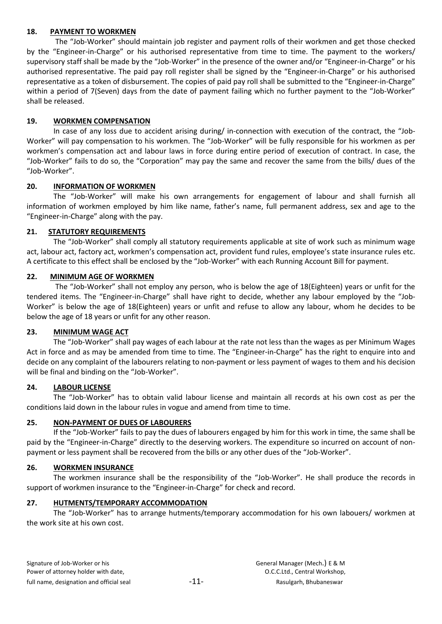#### 18. PAYMENT TO WORKMEN

The "Job-Worker" should maintain job register and payment rolls of their workmen and get those checked by the "Engineer-in-Charge" or his authorised representative from time to time. The payment to the workers/ supervisory staff shall be made by the "Job-Worker" in the presence of the owner and/or "Engineer-in-Charge" or his authorised representative. The paid pay roll register shall be signed by the "Engineer-in-Charge" or his authorised representative as a token of disbursement. The copies of paid pay roll shall be submitted to the "Engineer-in-Charge" within a period of 7(Seven) days from the date of payment failing which no further payment to the "Job-Worker" shall be released.

### 19. WORKMEN COMPENSATION

In case of any loss due to accident arising during/ in-connection with execution of the contract, the "Job-Worker" will pay compensation to his workmen. The "Job-Worker" will be fully responsible for his workmen as per workmen's compensation act and labour laws in force during entire period of execution of contract. In case, the "Job-Worker" fails to do so, the "Corporation" may pay the same and recover the same from the bills/ dues of the "Job-Worker".

### 20. INFORMATION OF WORKMEN

The "Job-Worker" will make his own arrangements for engagement of labour and shall furnish all information of workmen employed by him like name, father's name, full permanent address, sex and age to the "Engineer-in-Charge" along with the pay.

### 21. STATUTORY REQUIREMENTS

The "Job-Worker" shall comply all statutory requirements applicable at site of work such as minimum wage act, labour act, factory act, workmen's compensation act, provident fund rules, employee's state insurance rules etc. A certificate to this effect shall be enclosed by the "Job-Worker" with each Running Account Bill for payment.

### 22. MINIMUM AGE OF WORKMEN

The "Job-Worker" shall not employ any person, who is below the age of 18(Eighteen) years or unfit for the tendered items. The "Engineer-in-Charge" shall have right to decide, whether any labour employed by the "Job-Worker" is below the age of 18(Eighteen) years or unfit and refuse to allow any labour, whom he decides to be below the age of 18 years or unfit for any other reason.

#### 23. MINIMUM WAGE ACT

The "Job-Worker" shall pay wages of each labour at the rate not less than the wages as per Minimum Wages Act in force and as may be amended from time to time. The "Engineer-in-Charge" has the right to enquire into and decide on any complaint of the labourers relating to non-payment or less payment of wages to them and his decision will be final and binding on the "Job-Worker".

#### 24. LABOUR LICENSE

The "Job-Worker" has to obtain valid labour license and maintain all records at his own cost as per the conditions laid down in the labour rules in vogue and amend from time to time.

#### 25. NON-PAYMENT OF DUES OF LABOURERS

If the "Job-Worker" fails to pay the dues of labourers engaged by him for this work in time, the same shall be paid by the "Engineer-in-Charge" directly to the deserving workers. The expenditure so incurred on account of nonpayment or less payment shall be recovered from the bills or any other dues of the "Job-Worker".

#### 26. WORKMEN INSURANCE

The workmen insurance shall be the responsibility of the "Job-Worker". He shall produce the records in support of workmen insurance to the "Engineer-in-Charge" for check and record.

#### 27. HUTMENTS/TEMPORARY ACCOMMODATION

The "Job-Worker" has to arrange hutments/temporary accommodation for his own labouers/ workmen at the work site at his own cost.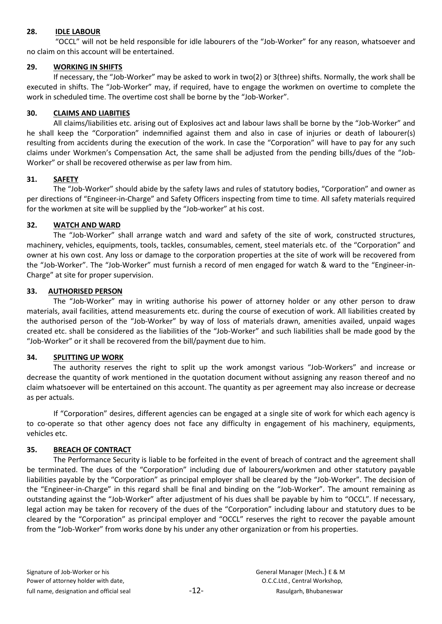### 28. IDLE LABOUR

"OCCL" will not be held responsible for idle labourers of the "Job-Worker" for any reason, whatsoever and no claim on this account will be entertained.

# 29. WORKING IN SHIFTS

If necessary, the "Job-Worker" may be asked to work in two(2) or 3(three) shifts. Normally, the work shall be executed in shifts. The "Job-Worker" may, if required, have to engage the workmen on overtime to complete the work in scheduled time. The overtime cost shall be borne by the "Job-Worker".

### 30. CLAIMS AND LIABITIES

All claims/liabilities etc. arising out of Explosives act and labour laws shall be borne by the "Job-Worker" and he shall keep the "Corporation" indemnified against them and also in case of injuries or death of labourer(s) resulting from accidents during the execution of the work. In case the "Corporation" will have to pay for any such claims under Workmen's Compensation Act, the same shall be adjusted from the pending bills/dues of the "Job-Worker" or shall be recovered otherwise as per law from him.

# 31. SAFETY

The "Job-Worker" should abide by the safety laws and rules of statutory bodies, "Corporation" and owner as per directions of "Engineer-in-Charge" and Safety Officers inspecting from time to time. All safety materials required for the workmen at site will be supplied by the "Job-worker" at his cost.

### 32. WATCH AND WARD

The "Job-Worker" shall arrange watch and ward and safety of the site of work, constructed structures, machinery, vehicles, equipments, tools, tackles, consumables, cement, steel materials etc. of the "Corporation" and owner at his own cost. Any loss or damage to the corporation properties at the site of work will be recovered from the "Job-Worker". The "Job-Worker" must furnish a record of men engaged for watch & ward to the "Engineer-in-Charge" at site for proper supervision.

### 33. AUTHORISED PERSON

The "Job-Worker" may in writing authorise his power of attorney holder or any other person to draw materials, avail facilities, attend measurements etc. during the course of execution of work. All liabilities created by the authorised person of the "Job-Worker" by way of loss of materials drawn, amenities availed, unpaid wages created etc. shall be considered as the liabilities of the "Job-Worker" and such liabilities shall be made good by the "Job-Worker" or it shall be recovered from the bill/payment due to him.

#### 34. SPLITTING UP WORK

The authority reserves the right to split up the work amongst various "Job-Workers" and increase or decrease the quantity of work mentioned in the quotation document without assigning any reason thereof and no claim whatsoever will be entertained on this account. The quantity as per agreement may also increase or decrease as per actuals.

If "Corporation" desires, different agencies can be engaged at a single site of work for which each agency is to co-operate so that other agency does not face any difficulty in engagement of his machinery, equipments, vehicles etc.

# 35. BREACH OF CONTRACT

The Performance Security is liable to be forfeited in the event of breach of contract and the agreement shall be terminated. The dues of the "Corporation" including due of labourers/workmen and other statutory payable liabilities payable by the "Corporation" as principal employer shall be cleared by the "Job-Worker". The decision of the "Engineer-in-Charge" in this regard shall be final and binding on the "Job-Worker". The amount remaining as outstanding against the "Job-Worker" after adjustment of his dues shall be payable by him to "OCCL". If necessary, legal action may be taken for recovery of the dues of the "Corporation" including labour and statutory dues to be cleared by the "Corporation" as principal employer and "OCCL" reserves the right to recover the payable amount from the "Job-Worker" from works done by his under any other organization or from his properties.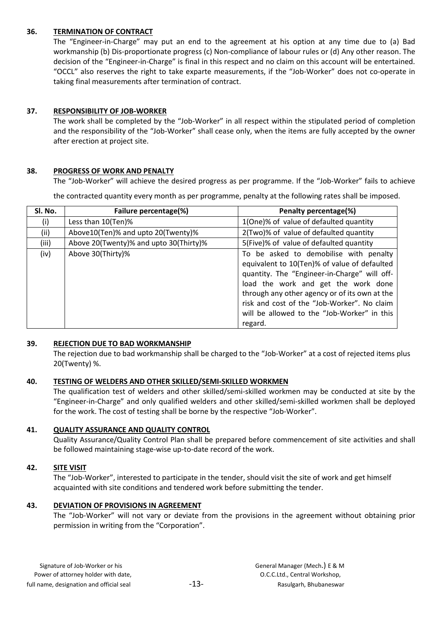### 36. TERMINATION OF CONTRACT

The "Engineer-in-Charge" may put an end to the agreement at his option at any time due to (a) Bad workmanship (b) Dis-proportionate progress (c) Non-compliance of labour rules or (d) Any other reason. The decision of the "Engineer-in-Charge" is final in this respect and no claim on this account will be entertained. "OCCL" also reserves the right to take exparte measurements, if the "Job-Worker" does not co-operate in taking final measurements after termination of contract.

### 37. RESPONSIBILITY OF JOB-WORKER

The work shall be completed by the "Job-Worker" in all respect within the stipulated period of completion and the responsibility of the "Job-Worker" shall cease only, when the items are fully accepted by the owner after erection at project site.

### 38. PROGRESS OF WORK AND PENALTY

The "Job-Worker" will achieve the desired progress as per programme. If the "Job-Worker" fails to achieve

the contracted quantity every month as per programme, penalty at the following rates shall be imposed.

| Sl. No. | Failure percentage(%)                  | Penalty percentage(%)                                                                                                                                                                                                                                                                                                                   |
|---------|----------------------------------------|-----------------------------------------------------------------------------------------------------------------------------------------------------------------------------------------------------------------------------------------------------------------------------------------------------------------------------------------|
| (i)     | Less than 10(Ten)%                     | 1(One)% of value of defaulted quantity                                                                                                                                                                                                                                                                                                  |
| (ii)    | Above10(Ten)% and upto 20(Twenty)%     | 2(Two)% of value of defaulted quantity                                                                                                                                                                                                                                                                                                  |
| (iii)   | Above 20(Twenty)% and upto 30(Thirty)% | 5(Five)% of value of defaulted quantity                                                                                                                                                                                                                                                                                                 |
| (iv)    | Above 30(Thirty)%                      | To be asked to demobilise with penalty<br>equivalent to 10(Ten)% of value of defaulted<br>quantity. The "Engineer-in-Charge" will off-<br>load the work and get the work done<br>through any other agency or of its own at the<br>risk and cost of the "Job-Worker". No claim<br>will be allowed to the "Job-Worker" in this<br>regard. |

#### 39. REJECTION DUE TO BAD WORKMANSHIP

The rejection due to bad workmanship shall be charged to the "Job-Worker" at a cost of rejected items plus 20(Twenty) %.

#### 40. TESTING OF WELDERS AND OTHER SKILLED/SEMI-SKILLED WORKMEN

The qualification test of welders and other skilled/semi-skilled workmen may be conducted at site by the "Engineer-in-Charge" and only qualified welders and other skilled/semi-skilled workmen shall be deployed for the work. The cost of testing shall be borne by the respective "Job-Worker".

# 41. QUALITY ASSURANCE AND QUALITY CONTROL

Quality Assurance/Quality Control Plan shall be prepared before commencement of site activities and shall be followed maintaining stage-wise up-to-date record of the work.

# 42. SITE VISIT

The "Job-Worker", interested to participate in the tender, should visit the site of work and get himself acquainted with site conditions and tendered work before submitting the tender.

# 43. DEVIATION OF PROVISIONS IN AGREEMENT

The "Job-Worker" will not vary or deviate from the provisions in the agreement without obtaining prior permission in writing from the "Corporation".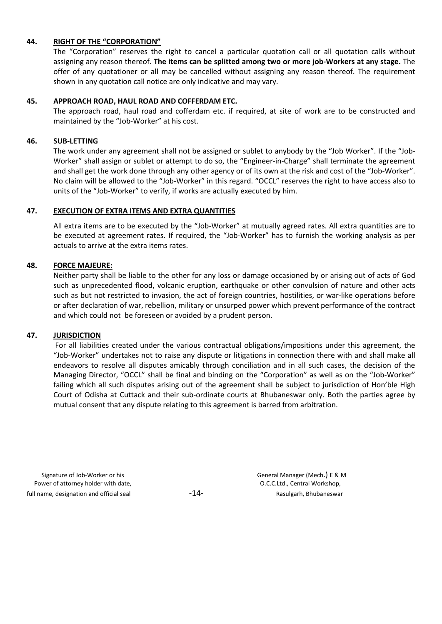#### 44. RIGHT OF THE "CORPORATION"

The "Corporation" reserves the right to cancel a particular quotation call or all quotation calls without assigning any reason thereof. The items can be splitted among two or more job-Workers at any stage. The offer of any quotationer or all may be cancelled without assigning any reason thereof. The requirement shown in any quotation call notice are only indicative and may vary.

#### 45. APPROACH ROAD, HAUL ROAD AND COFFERDAM ETC.

The approach road, haul road and cofferdam etc. if required, at site of work are to be constructed and maintained by the "Job-Worker" at his cost.

#### 46. SUB-LETTING

The work under any agreement shall not be assigned or sublet to anybody by the "Job Worker". If the "Job-Worker" shall assign or sublet or attempt to do so, the "Engineer-in-Charge" shall terminate the agreement and shall get the work done through any other agency or of its own at the risk and cost of the "Job-Worker". No claim will be allowed to the "Job-Worker" in this regard. "OCCL" reserves the right to have access also to units of the "Job-Worker" to verify, if works are actually executed by him.

#### 47. EXECUTION OF EXTRA ITEMS AND EXTRA QUANTITIES

All extra items are to be executed by the "Job-Worker" at mutually agreed rates. All extra quantities are to be executed at agreement rates. If required, the "Job-Worker" has to furnish the working analysis as per actuals to arrive at the extra items rates.

#### 48. FORCE MAJEURE:

Neither party shall be liable to the other for any loss or damage occasioned by or arising out of acts of God such as unprecedented flood, volcanic eruption, earthquake or other convulsion of nature and other acts such as but not restricted to invasion, the act of foreign countries, hostilities, or war-like operations before or after declaration of war, rebellion, military or unsurped power which prevent performance of the contract and which could not be foreseen or avoided by a prudent person.

#### 47. JURISDICTION

For all liabilities created under the various contractual obligations/impositions under this agreement, the "Job-Worker" undertakes not to raise any dispute or litigations in connection there with and shall make all endeavors to resolve all disputes amicably through conciliation and in all such cases, the decision of the Managing Director, "OCCL" shall be final and binding on the "Corporation" as well as on the "Job-Worker" failing which all such disputes arising out of the agreement shall be subject to jurisdiction of Hon'ble High Court of Odisha at Cuttack and their sub-ordinate courts at Bhubaneswar only. Both the parties agree by mutual consent that any dispute relating to this agreement is barred from arbitration.

Signature of Job-Worker or his General Manager (Mech.) E & M Power of attorney holder with date,  $O.C.C.L.d.,$  Central Workshop, full name, designation and official seal  $-14 -14-$  Rasulgarh, Bhubaneswar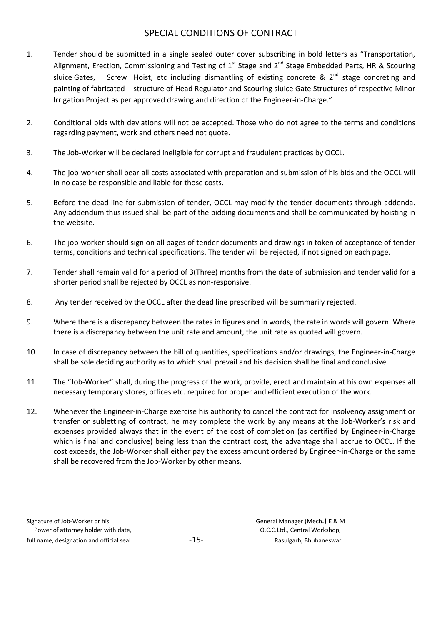# SPECIAL CONDITIONS OF CONTRACT

- 1. Tender should be submitted in a single sealed outer cover subscribing in bold letters as "Transportation, Alignment, Erection, Commissioning and Testing of  $1<sup>st</sup>$  Stage and  $2<sup>nd</sup>$  Stage Embedded Parts, HR & Scouring sluice Gates, Screw Hoist, etc including dismantling of existing concrete &  $2^{nd}$  stage concreting and painting of fabricated structure of Head Regulator and Scouring sluice Gate Structures of respective Minor Irrigation Project as per approved drawing and direction of the Engineer-in-Charge."
- 2. Conditional bids with deviations will not be accepted. Those who do not agree to the terms and conditions regarding payment, work and others need not quote.
- 3. The Job-Worker will be declared ineligible for corrupt and fraudulent practices by OCCL.
- 4. The job-worker shall bear all costs associated with preparation and submission of his bids and the OCCL will in no case be responsible and liable for those costs.
- 5. Before the dead-line for submission of tender, OCCL may modify the tender documents through addenda. Any addendum thus issued shall be part of the bidding documents and shall be communicated by hoisting in the website.
- 6. The job-worker should sign on all pages of tender documents and drawings in token of acceptance of tender terms, conditions and technical specifications. The tender will be rejected, if not signed on each page.
- 7. Tender shall remain valid for a period of 3(Three) months from the date of submission and tender valid for a shorter period shall be rejected by OCCL as non-responsive.
- 8. Any tender received by the OCCL after the dead line prescribed will be summarily rejected.
- 9. Where there is a discrepancy between the rates in figures and in words, the rate in words will govern. Where there is a discrepancy between the unit rate and amount, the unit rate as quoted will govern.
- 10. In case of discrepancy between the bill of quantities, specifications and/or drawings, the Engineer-in-Charge shall be sole deciding authority as to which shall prevail and his decision shall be final and conclusive.
- 11. The "Job-Worker" shall, during the progress of the work, provide, erect and maintain at his own expenses all necessary temporary stores, offices etc. required for proper and efficient execution of the work.
- 12. Whenever the Engineer-in-Charge exercise his authority to cancel the contract for insolvency assignment or transfer or subletting of contract, he may complete the work by any means at the Job-Worker's risk and expenses provided always that in the event of the cost of completion (as certified by Engineer-in-Charge which is final and conclusive) being less than the contract cost, the advantage shall accrue to OCCL. If the cost exceeds, the Job-Worker shall either pay the excess amount ordered by Engineer-in-Charge or the same shall be recovered from the Job-Worker by other means.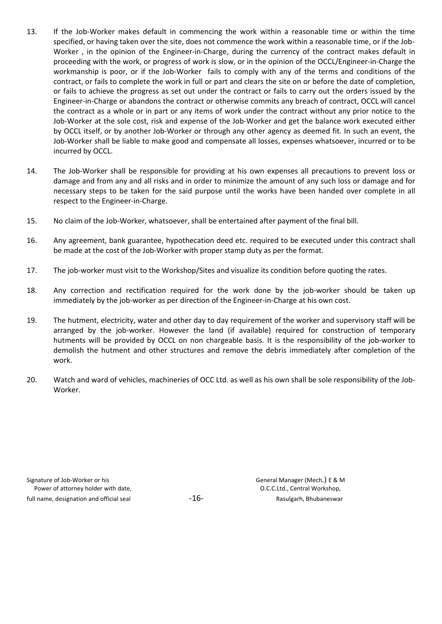- 13. If the Job-Worker makes default in commencing the work within a reasonable time or within the time specified, or having taken over the site, does not commence the work within a reasonable time, or if the Job-Worker , in the opinion of the Engineer-in-Charge, during the currency of the contract makes default in proceeding with the work, or progress of work is slow, or in the opinion of the OCCL/Engineer-in-Charge the workmanship is poor, or if the Job-Worker fails to comply with any of the terms and conditions of the contract, or fails to complete the work in full or part and clears the site on or before the date of completion, or fails to achieve the progress as set out under the contract or fails to carry out the orders issued by the Engineer-in-Charge or abandons the contract or otherwise commits any breach of contract, OCCL will cancel the contract as a whole or in part or any items of work under the contract without any prior notice to the Job-Worker at the sole cost, risk and expense of the Job-Worker and get the balance work executed either by OCCL itself, or by another Job-Worker or through any other agency as deemed fit. In such an event, the Job-Worker shall be liable to make good and compensate all losses, expenses whatsoever, incurred or to be incurred by OCCL.
- 14. The Job-Worker shall be responsible for providing at his own expenses all precautions to prevent loss or damage and from any and all risks and in order to minimize the amount of any such loss or damage and for necessary steps to be taken for the said purpose until the works have been handed over complete in all respect to the Engineer-in-Charge.
- 15. No claim of the Job-Worker, whatsoever, shall be entertained after payment of the final bill.
- 16. Any agreement, bank guarantee, hypothecation deed etc. required to be executed under this contract shall be made at the cost of the Job-Worker with proper stamp duty as per the format.
- 17. The job-worker must visit to the Workshop/Sites and visualize its condition before quoting the rates.
- 18. Any correction and rectification required for the work done by the job-worker should be taken up immediately by the job-worker as per direction of the Engineer-in-Charge at his own cost.
- 19. The hutment, electricity, water and other day to day requirement of the worker and supervisory staff will be arranged by the job-worker. However the land (if available) required for construction of temporary hutments will be provided by OCCL on non chargeable basis. It is the responsibility of the job-worker to demolish the hutment and other structures and remove the debris immediately after completion of the work.
- 20. Watch and ward of vehicles, machineries of OCC Ltd. as well as his own shall be sole responsibility of the Job-Worker.

Signature of Job-Worker or his **Signature of Job-Worker or his Constanting Constanting Constanting Constanting Constanting Constanting Constanting Constanting Constanting Constanting Constanting Constanting Constanting Con** Power of attorney holder with date,  $O.C.C.L.d.,$  Central Workshop, full name, designation and official seal  $-16 -16-$  Rasulgarh, Bhubaneswar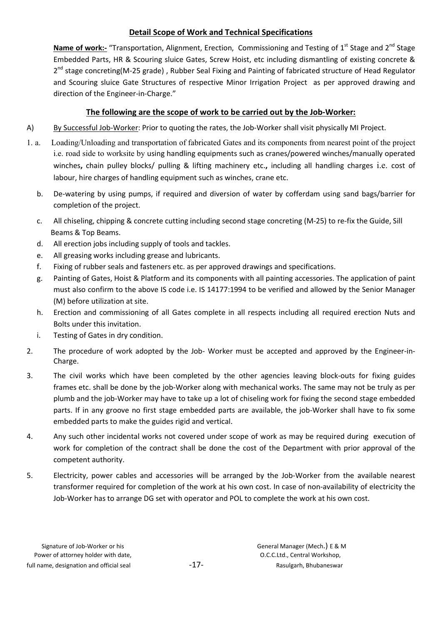# Detail Scope of Work and Technical Specifications

Name of work:- "Transportation, Alignment, Erection, Commissioning and Testing of 1<sup>st</sup> Stage and 2<sup>nd</sup> Stage Embedded Parts, HR & Scouring sluice Gates, Screw Hoist, etc including dismantling of existing concrete & 2<sup>nd</sup> stage concreting(M-25 grade), Rubber Seal Fixing and Painting of fabricated structure of Head Regulator and Scouring sluice Gate Structures of respective Minor Irrigation Project as per approved drawing and direction of the Engineer-in-Charge."

# The following are the scope of work to be carried out by the Job-Worker:

- A) By Successful Job-Worker: Prior to quoting the rates, the Job-Worker shall visit physically MI Project.
- 1. a. Loading/Unloading and transportation of fabricated Gates and its components from nearest point of the project i.e. road side to worksite by using handling equipments such as cranes/powered winches/manually operated winches, chain pulley blocks/ pulling & lifting machinery etc., including all handling charges i.e. cost of labour, hire charges of handling equipment such as winches, crane etc.
	- b. De-watering by using pumps, if required and diversion of water by cofferdam using sand bags/barrier for completion of the project.
	- c. All chiseling, chipping & concrete cutting including second stage concreting (M-25) to re-fix the Guide, Sill Beams & Top Beams.
	- d. All erection jobs including supply of tools and tackles.
	- e. All greasing works including grease and lubricants.
	- f. Fixing of rubber seals and fasteners etc. as per approved drawings and specifications.
	- g. Painting of Gates, Hoist & Platform and its components with all painting accessories. The application of paint must also confirm to the above IS code i.e. IS 14177:1994 to be verified and allowed by the Senior Manager (M) before utilization at site.
	- h. Erection and commissioning of all Gates complete in all respects including all required erection Nuts and Bolts under this invitation.
	- i. Testing of Gates in dry condition.
- 2. The procedure of work adopted by the Job- Worker must be accepted and approved by the Engineer-in-Charge.
- 3. The civil works which have been completed by the other agencies leaving block-outs for fixing guides frames etc. shall be done by the job-Worker along with mechanical works. The same may not be truly as per plumb and the job-Worker may have to take up a lot of chiseling work for fixing the second stage embedded parts. If in any groove no first stage embedded parts are available, the job-Worker shall have to fix some embedded parts to make the guides rigid and vertical.
- 4. Any such other incidental works not covered under scope of work as may be required during execution of work for completion of the contract shall be done the cost of the Department with prior approval of the competent authority.
- 5. Electricity, power cables and accessories will be arranged by the Job-Worker from the available nearest transformer required for completion of the work at his own cost. In case of non-availability of electricity the Job-Worker has to arrange DG set with operator and POL to complete the work at his own cost.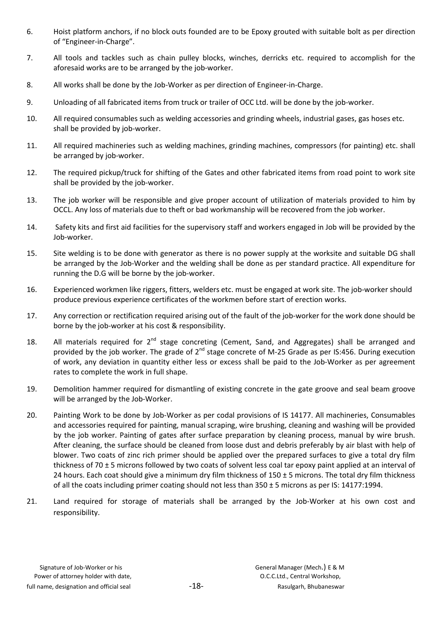- 6. Hoist platform anchors, if no block outs founded are to be Epoxy grouted with suitable bolt as per direction of "Engineer-in-Charge".
- 7. All tools and tackles such as chain pulley blocks, winches, derricks etc. required to accomplish for the aforesaid works are to be arranged by the job-worker.
- 8. All works shall be done by the Job-Worker as per direction of Engineer-in-Charge.
- 9. Unloading of all fabricated items from truck or trailer of OCC Ltd. will be done by the job-worker.
- 10. All required consumables such as welding accessories and grinding wheels, industrial gases, gas hoses etc. shall be provided by job-worker.
- 11. All required machineries such as welding machines, grinding machines, compressors (for painting) etc. shall be arranged by job-worker.
- 12. The required pickup/truck for shifting of the Gates and other fabricated items from road point to work site shall be provided by the job-worker.
- 13. The job worker will be responsible and give proper account of utilization of materials provided to him by OCCL. Any loss of materials due to theft or bad workmanship will be recovered from the job worker.
- 14. Safety kits and first aid facilities for the supervisory staff and workers engaged in Job will be provided by the Job-worker.
- 15. Site welding is to be done with generator as there is no power supply at the worksite and suitable DG shall be arranged by the Job-Worker and the welding shall be done as per standard practice. All expenditure for running the D.G will be borne by the job-worker.
- 16. Experienced workmen like riggers, fitters, welders etc. must be engaged at work site. The job-worker should produce previous experience certificates of the workmen before start of erection works.
- 17. Any correction or rectification required arising out of the fault of the job-worker for the work done should be borne by the job-worker at his cost & responsibility.
- 18. All materials required for  $2^{nd}$  stage concreting (Cement, Sand, and Aggregates) shall be arranged and provided by the job worker. The grade of 2<sup>nd</sup> stage concrete of M-25 Grade as per IS:456. During execution of work, any deviation in quantity either less or excess shall be paid to the Job-Worker as per agreement rates to complete the work in full shape.
- 19. Demolition hammer required for dismantling of existing concrete in the gate groove and seal beam groove will be arranged by the Job-Worker.
- 20. Painting Work to be done by Job-Worker as per codal provisions of IS 14177. All machineries, Consumables and accessories required for painting, manual scraping, wire brushing, cleaning and washing will be provided by the job worker. Painting of gates after surface preparation by cleaning process, manual by wire brush. After cleaning, the surface should be cleaned from loose dust and debris preferably by air blast with help of blower. Two coats of zinc rich primer should be applied over the prepared surfaces to give a total dry film thickness of 70 ± 5 microns followed by two coats of solvent less coal tar epoxy paint applied at an interval of 24 hours. Each coat should give a minimum dry film thickness of  $150 \pm 5$  microns. The total dry film thickness of all the coats including primer coating should not less than  $350 \pm 5$  microns as per IS: 14177:1994.
- 21. Land required for storage of materials shall be arranged by the Job-Worker at his own cost and responsibility.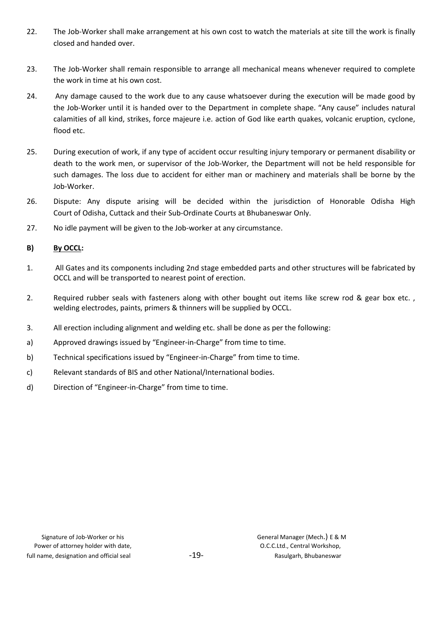- 22. The Job-Worker shall make arrangement at his own cost to watch the materials at site till the work is finally closed and handed over.
- 23. The Job-Worker shall remain responsible to arrange all mechanical means whenever required to complete the work in time at his own cost.
- 24. Any damage caused to the work due to any cause whatsoever during the execution will be made good by the Job-Worker until it is handed over to the Department in complete shape. "Any cause" includes natural calamities of all kind, strikes, force majeure i.e. action of God like earth quakes, volcanic eruption, cyclone, flood etc.
- 25. During execution of work, if any type of accident occur resulting injury temporary or permanent disability or death to the work men, or supervisor of the Job-Worker, the Department will not be held responsible for such damages. The loss due to accident for either man or machinery and materials shall be borne by the Job-Worker.
- 26. Dispute: Any dispute arising will be decided within the jurisdiction of Honorable Odisha High Court of Odisha, Cuttack and their Sub-Ordinate Courts at Bhubaneswar Only.
- 27. No idle payment will be given to the Job-worker at any circumstance.

# B) By OCCL:

- 1. All Gates and its components including 2nd stage embedded parts and other structures will be fabricated by OCCL and will be transported to nearest point of erection.
- 2. Required rubber seals with fasteners along with other bought out items like screw rod & gear box etc., welding electrodes, paints, primers & thinners will be supplied by OCCL.
- 3. All erection including alignment and welding etc. shall be done as per the following:
- a) Approved drawings issued by "Engineer-in-Charge" from time to time.
- b) Technical specifications issued by "Engineer-in-Charge" from time to time.
- c) Relevant standards of BIS and other National/International bodies.
- d) Direction of "Engineer-in-Charge" from time to time.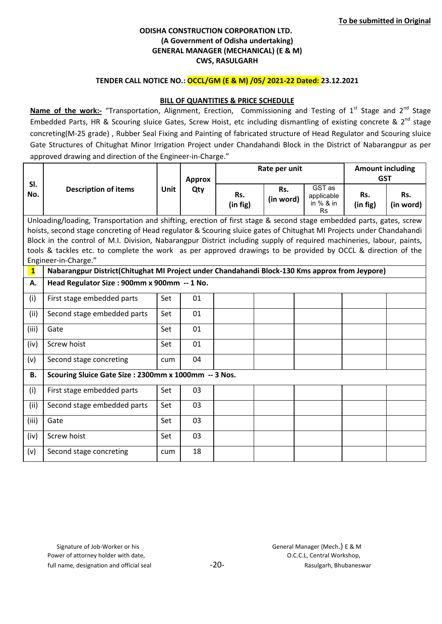### TENDER CALL NOTICE NO.: OCCL/GM (E & M) /05/ 2021-22 Dated: 23.12.2021

### BILL OF QUANTITIES & PRICE SCHEDULE

Name of the work:- "Transportation, Alignment, Erection, Commissioning and Testing of 1<sup>st</sup> Stage and 2<sup>nd</sup> Stage Embedded Parts, HR & Scouring sluice Gates, Screw Hoist, etc including dismantling of existing concrete &  $2^{nd}$  stage concreting(M-25 grade) , Rubber Seal Fixing and Painting of fabricated structure of Head Regulator and Scouring sluice Gate Structures of Chitughat Minor Irrigation Project under Chandahandi Block in the District of Nabarangpur as per approved drawing and direction of the Engineer-in-Charge."

|              |                                                                                                                       |             |               |                 | Rate per unit    | <b>Amount including</b>                          |                 |                  |
|--------------|-----------------------------------------------------------------------------------------------------------------------|-------------|---------------|-----------------|------------------|--------------------------------------------------|-----------------|------------------|
| SI.          |                                                                                                                       |             | <b>Approx</b> |                 |                  |                                                  | <b>GST</b>      |                  |
| No.          | <b>Description of items</b>                                                                                           | <b>Unit</b> | Qty           | Rs.<br>(in fig) | Rs.<br>(in word) | GST as<br>applicable<br>in $%$ & in<br><b>Rs</b> | Rs.<br>(in fig) | Rs.<br>(in word) |
|              | Unloading/loading, Transportation and shifting, erection of first stage & second stage embedded parts, gates, screw   |             |               |                 |                  |                                                  |                 |                  |
|              | hoists, second stage concreting of Head regulator & Scouring sluice gates of Chitughat MI Projects under Chandahandi  |             |               |                 |                  |                                                  |                 |                  |
|              | Block in the control of M.I. Division, Nabarangpur District including supply of required machineries, labour, paints, |             |               |                 |                  |                                                  |                 |                  |
|              | tools & tackles etc. to complete the work as per approved drawings to be provided by OCCL & direction of the          |             |               |                 |                  |                                                  |                 |                  |
|              | Engineer-in-Charge."                                                                                                  |             |               |                 |                  |                                                  |                 |                  |
| $\mathbf{1}$ | Nabarangpur District(Chitughat MI Project under Chandahandi Block-130 Kms approx from Jeypore)                        |             |               |                 |                  |                                                  |                 |                  |
| А.           | Head Regulator Size: 900mm x 900mm -- 1 No.                                                                           |             |               |                 |                  |                                                  |                 |                  |
| (i)          | First stage embedded parts                                                                                            | Set         | 01            |                 |                  |                                                  |                 |                  |
| (ii)         | Second stage embedded parts                                                                                           | Set         | 01            |                 |                  |                                                  |                 |                  |
| (iii)        | Gate                                                                                                                  | Set         | 01            |                 |                  |                                                  |                 |                  |
| (iv)         | Screw hoist                                                                                                           | Set         | 01            |                 |                  |                                                  |                 |                  |
| (v)          | Second stage concreting                                                                                               | cum         | 04            |                 |                  |                                                  |                 |                  |
| <b>B.</b>    | Scouring Sluice Gate Size: 2300mm x 1000mm -- 3 Nos.                                                                  |             |               |                 |                  |                                                  |                 |                  |
| (i)          | First stage embedded parts                                                                                            | Set         | 03            |                 |                  |                                                  |                 |                  |
| (ii)         | Second stage embedded parts                                                                                           | Set         | 03            |                 |                  |                                                  |                 |                  |
| (iii)        | Gate                                                                                                                  | Set         | 03            |                 |                  |                                                  |                 |                  |
| (iv)         | Screw hoist                                                                                                           | Set         | 03            |                 |                  |                                                  |                 |                  |
| (v)          | Second stage concreting                                                                                               | cum         | 18            |                 |                  |                                                  |                 |                  |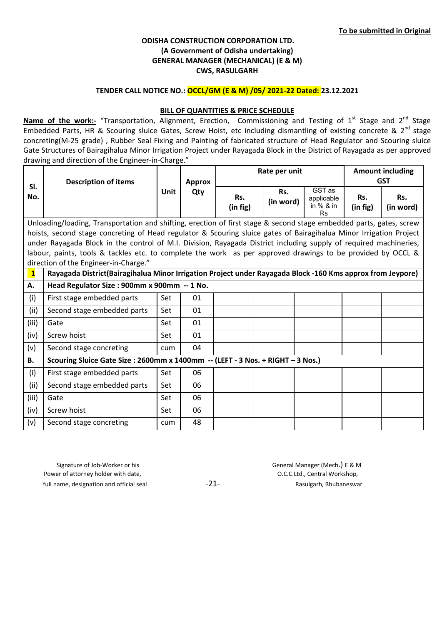#### TENDER CALL NOTICE NO.: OCCL/GM (E & M) /05/ 2021-22 Dated: 23.12.2021

### **BILL OF QUANTITIES & PRICE SCHEDULE**

Name of the work:- "Transportation, Alignment, Erection, Commissioning and Testing of 1<sup>st</sup> Stage and 2<sup>nd</sup> Stage Embedded Parts, HR & Scouring sluice Gates, Screw Hoist, etc including dismantling of existing concrete & 2<sup>nd</sup> stage concreting(M-25 grade) , Rubber Seal Fixing and Painting of fabricated structure of Head Regulator and Scouring sluice Gate Structures of Bairagihalua Minor Irrigation Project under Rayagada Block in the District of Rayagada as per approved drawing and direction of the Engineer-in-Charge."

|                         |                                                                                                                     |             |               | Rate per unit   |                  |                                                | <b>Amount including</b> |                  |  |
|-------------------------|---------------------------------------------------------------------------------------------------------------------|-------------|---------------|-----------------|------------------|------------------------------------------------|-------------------------|------------------|--|
|                         | <b>Description of items</b>                                                                                         |             | <b>Approx</b> |                 |                  |                                                |                         | <b>GST</b>       |  |
| SI.<br>No.              |                                                                                                                     | <b>Unit</b> | Qty           | Rs.<br>(in fig) | Rs.<br>(in word) | GST as<br>applicable<br>in % & in<br><b>Rs</b> | Rs.<br>(in fig)         | Rs.<br>(in word) |  |
|                         | Unloading/loading, Transportation and shifting, erection of first stage & second stage embedded parts, gates, screw |             |               |                 |                  |                                                |                         |                  |  |
|                         | hoists, second stage concreting of Head regulator & Scouring sluice gates of Bairagihalua Minor Irrigation Project  |             |               |                 |                  |                                                |                         |                  |  |
|                         | under Rayagada Block in the control of M.I. Division, Rayagada District including supply of required machineries,   |             |               |                 |                  |                                                |                         |                  |  |
|                         | labour, paints, tools & tackles etc. to complete the work as per approved drawings to be provided by OCCL &         |             |               |                 |                  |                                                |                         |                  |  |
|                         | direction of the Engineer-in-Charge."                                                                               |             |               |                 |                  |                                                |                         |                  |  |
| $\overline{\mathbf{1}}$ | Rayagada District(Bairagihalua Minor Irrigation Project under Rayagada Block -160 Kms approx from Jeypore)          |             |               |                 |                  |                                                |                         |                  |  |
| Α.                      | Head Regulator Size : 900mm x 900mm -- 1 No.                                                                        |             |               |                 |                  |                                                |                         |                  |  |
| (i)                     | First stage embedded parts                                                                                          | Set         | 01            |                 |                  |                                                |                         |                  |  |
| (ii)                    | Second stage embedded parts                                                                                         | Set         | 01            |                 |                  |                                                |                         |                  |  |
| (iii)                   | Gate                                                                                                                | Set         | 01            |                 |                  |                                                |                         |                  |  |
| (iv)                    | Screw hoist                                                                                                         | Set         | 01            |                 |                  |                                                |                         |                  |  |
| (v)                     | Second stage concreting                                                                                             | cum         | 04            |                 |                  |                                                |                         |                  |  |
| <b>B.</b>               | Scouring Sluice Gate Size : 2600mm x 1400mm -- (LEFT - 3 Nos. + RIGHT - 3 Nos.)                                     |             |               |                 |                  |                                                |                         |                  |  |
| (i)                     | First stage embedded parts                                                                                          | Set         | 06            |                 |                  |                                                |                         |                  |  |
| (ii)                    | Second stage embedded parts                                                                                         | Set         | 06            |                 |                  |                                                |                         |                  |  |
| (iii)                   | Gate                                                                                                                | Set         | 06            |                 |                  |                                                |                         |                  |  |
| (iv)                    | Screw hoist                                                                                                         | Set         | 06            |                 |                  |                                                |                         |                  |  |
| (v)                     | Second stage concreting                                                                                             | cum         | 48            |                 |                  |                                                |                         |                  |  |

 Signature of Job-Worker or his General Manager (Mech.) E & M Power of attorney holder with date,  $O.C.C.L.d.,$  Central Workshop, full name, designation and official seal  $-21-$  -21- Rasulgarh, Bhubaneswar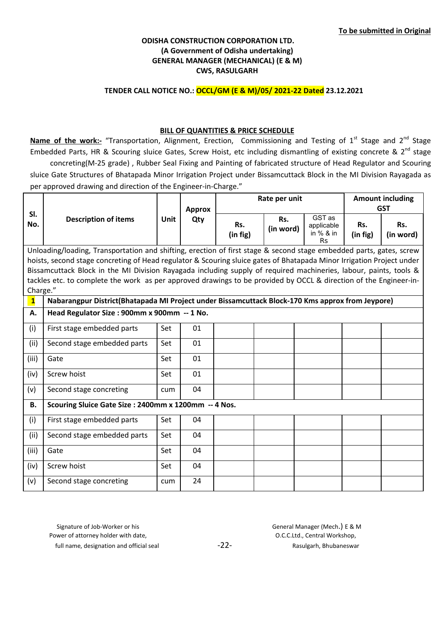### TENDER CALL NOTICE NO.: OCCL/GM (E & M)/05/ 2021-22 Dated 23.12.2021

### BILL OF QUANTITIES & PRICE SCHEDULE

Name of the work:- "Transportation, Alignment, Erection, Commissioning and Testing of 1<sup>st</sup> Stage and 2<sup>nd</sup> Stage Embedded Parts, HR & Scouring sluice Gates, Screw Hoist, etc including dismantling of existing concrete & 2<sup>nd</sup> stage concreting(M-25 grade) , Rubber Seal Fixing and Painting of fabricated structure of Head Regulator and Scouring sluice Gate Structures of Bhatapada Minor Irrigation Project under Bissamcuttack Block in the MI Division Rayagada as per approved drawing and direction of the Engineer-in-Charge."

|              |                                                                                                                                                                                                                                        |      | Rate per unit        |                 | <b>Amount including</b> |                                                  |                 |                                |
|--------------|----------------------------------------------------------------------------------------------------------------------------------------------------------------------------------------------------------------------------------------|------|----------------------|-----------------|-------------------------|--------------------------------------------------|-----------------|--------------------------------|
| SI.<br>No.   | <b>Description of items</b>                                                                                                                                                                                                            | Unit | <b>Approx</b><br>Qty | Rs.<br>(in fig) | Rs.<br>(in word)        | GST as<br>applicable<br>in $%$ & in<br><b>Rs</b> | Rs.<br>(in fig) | <b>GST</b><br>Rs.<br>(in word) |
|              | Unloading/loading, Transportation and shifting, erection of first stage & second stage embedded parts, gates, screw                                                                                                                    |      |                      |                 |                         |                                                  |                 |                                |
|              | hoists, second stage concreting of Head regulator & Scouring sluice gates of Bhatapada Minor Irrigation Project under                                                                                                                  |      |                      |                 |                         |                                                  |                 |                                |
|              | Bissamcuttack Block in the MI Division Rayagada including supply of required machineries, labour, paints, tools &<br>tackles etc. to complete the work as per approved drawings to be provided by OCCL & direction of the Engineer-in- |      |                      |                 |                         |                                                  |                 |                                |
|              | Charge."                                                                                                                                                                                                                               |      |                      |                 |                         |                                                  |                 |                                |
| $\mathbf{1}$ | Nabarangpur District(Bhatapada MI Project under Bissamcuttack Block-170 Kms approx from Jeypore)                                                                                                                                       |      |                      |                 |                         |                                                  |                 |                                |
| А.           | Head Regulator Size : 900mm x 900mm -- 1 No.                                                                                                                                                                                           |      |                      |                 |                         |                                                  |                 |                                |
| (i)          | First stage embedded parts                                                                                                                                                                                                             | Set  | 01                   |                 |                         |                                                  |                 |                                |
| (ii)         | Second stage embedded parts                                                                                                                                                                                                            | Set  | 01                   |                 |                         |                                                  |                 |                                |
| (iii)        | Gate                                                                                                                                                                                                                                   | Set  | 01                   |                 |                         |                                                  |                 |                                |
| (iv)         | Screw hoist                                                                                                                                                                                                                            | Set  | 01                   |                 |                         |                                                  |                 |                                |
| (v)          | Second stage concreting                                                                                                                                                                                                                | cum  | 04                   |                 |                         |                                                  |                 |                                |
| <b>B.</b>    | Scouring Sluice Gate Size: 2400mm x 1200mm -- 4 Nos.                                                                                                                                                                                   |      |                      |                 |                         |                                                  |                 |                                |
| (i)          | First stage embedded parts                                                                                                                                                                                                             | Set  | 04                   |                 |                         |                                                  |                 |                                |
| (ii)         | Second stage embedded parts                                                                                                                                                                                                            | Set  | 04                   |                 |                         |                                                  |                 |                                |
| (iii)        | Gate                                                                                                                                                                                                                                   | Set  | 04                   |                 |                         |                                                  |                 |                                |
| (iv)         | Screw hoist                                                                                                                                                                                                                            | Set  | 04                   |                 |                         |                                                  |                 |                                |
| (v)          | Second stage concreting                                                                                                                                                                                                                | cum  | 24                   |                 |                         |                                                  |                 |                                |

Signature of Job-Worker or his General Manager (Mech.) E & M

full name, designation and official seal example  $-22$ - Rasulgarh, Bhubaneswar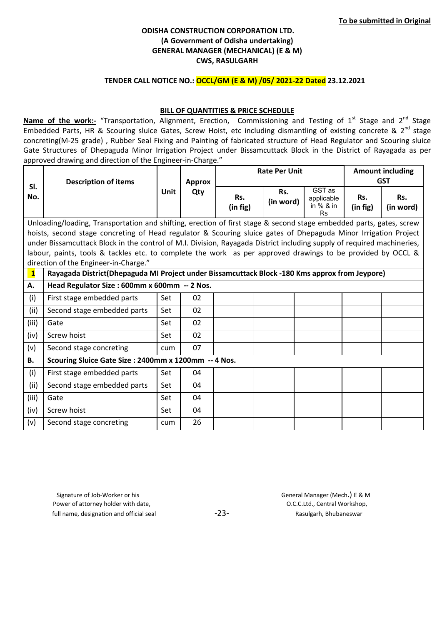#### TENDER CALL NOTICE NO.: OCCL/GM (E & M) /05/ 2021-22 Dated 23.12.2021

#### BILL OF QUANTITIES & PRICE SCHEDULE

Name of the work:- "Transportation, Alignment, Erection, Commissioning and Testing of 1<sup>st</sup> Stage and 2<sup>nd</sup> Stage Embedded Parts, HR & Scouring sluice Gates, Screw Hoist, etc including dismantling of existing concrete & 2<sup>nd</sup> stage concreting(M-25 grade) , Rubber Seal Fixing and Painting of fabricated structure of Head Regulator and Scouring sluice Gate Structures of Dhepaguda Minor Irrigation Project under Bissamcuttack Block in the District of Rayagada as per approved drawing and direction of the Engineer-in-Charge."

|                         |                                                                                                                        |             |               |                 | <b>Rate Per Unit</b> | <b>Amount including</b>                          |                 |                  |
|-------------------------|------------------------------------------------------------------------------------------------------------------------|-------------|---------------|-----------------|----------------------|--------------------------------------------------|-----------------|------------------|
|                         | <b>Description of items</b>                                                                                            |             | <b>Approx</b> |                 |                      |                                                  | <b>GST</b>      |                  |
| SI.<br>No.              |                                                                                                                        | <b>Unit</b> | Qty           | Rs.<br>(in fig) | Rs.<br>(in word)     | GST as<br>applicable<br>in $%$ & in<br><b>Rs</b> | Rs.<br>(in fig) | Rs.<br>(in word) |
|                         | Unloading/loading, Transportation and shifting, erection of first stage & second stage embedded parts, gates, screw    |             |               |                 |                      |                                                  |                 |                  |
|                         | hoists, second stage concreting of Head regulator & Scouring sluice gates of Dhepaguda Minor Irrigation Project        |             |               |                 |                      |                                                  |                 |                  |
|                         | under Bissamcuttack Block in the control of M.I. Division, Rayagada District including supply of required machineries, |             |               |                 |                      |                                                  |                 |                  |
|                         | labour, paints, tools & tackles etc. to complete the work as per approved drawings to be provided by OCCL &            |             |               |                 |                      |                                                  |                 |                  |
|                         | direction of the Engineer-in-Charge."                                                                                  |             |               |                 |                      |                                                  |                 |                  |
| $\overline{\mathbf{1}}$ | Rayagada District(Dhepaguda MI Project under Bissamcuttack Block -180 Kms approx from Jeypore)                         |             |               |                 |                      |                                                  |                 |                  |
| А.                      | Head Regulator Size : 600mm x 600mm -- 2 Nos.                                                                          |             |               |                 |                      |                                                  |                 |                  |
| (i)                     | First stage embedded parts                                                                                             | Set         | 02            |                 |                      |                                                  |                 |                  |
| (ii)                    | Second stage embedded parts                                                                                            | Set         | 02            |                 |                      |                                                  |                 |                  |
| (iii)                   | Gate                                                                                                                   | Set         | 02            |                 |                      |                                                  |                 |                  |
| (iv)                    | Screw hoist                                                                                                            | Set         | 02            |                 |                      |                                                  |                 |                  |
| (v)                     | Second stage concreting                                                                                                | cum         | 07            |                 |                      |                                                  |                 |                  |
| <b>B.</b>               | Scouring Sluice Gate Size: 2400mm x 1200mm -- 4 Nos.                                                                   |             |               |                 |                      |                                                  |                 |                  |
| (i)                     | First stage embedded parts                                                                                             | Set         | 04            |                 |                      |                                                  |                 |                  |
| (ii)                    | Second stage embedded parts                                                                                            | Set         | 04            |                 |                      |                                                  |                 |                  |
| (iii)                   | Gate                                                                                                                   | Set         | 04            |                 |                      |                                                  |                 |                  |
| (iv)                    | Screw hoist                                                                                                            | Set         | 04            |                 |                      |                                                  |                 |                  |
| (v)                     | Second stage concreting                                                                                                | cum         | 26            |                 |                      |                                                  |                 |                  |

 Signature of Job-Worker or his General Manager (Mech.) E & M Power of attorney holder with date,  $O.C.C.L.d.,$  Central Workshop, full name, designation and official seal example  $-23-$  Rasulgarh, Bhubaneswar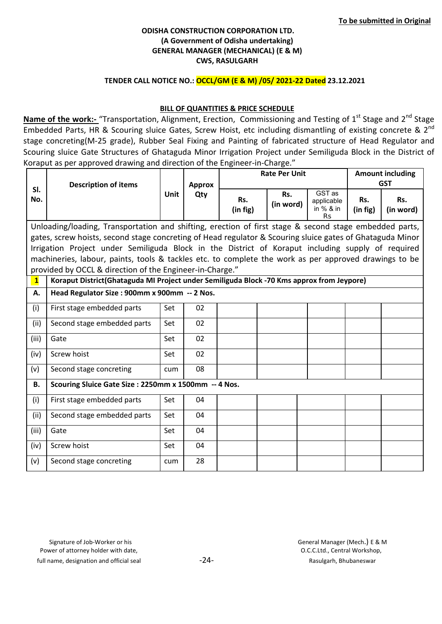### TENDER CALL NOTICE NO.: OCCL/GM (E & M) /05/ 2021-22 Dated 23.12.2021

### **BILL OF QUANTITIES & PRICE SCHEDULE**

Name of the work:- "Transportation, Alignment, Erection, Commissioning and Testing of  $1<sup>st</sup>$  Stage and  $2<sup>nd</sup>$  Stage Embedded Parts, HR & Scouring sluice Gates, Screw Hoist, etc including dismantling of existing concrete & 2nd stage concreting(M-25 grade), Rubber Seal Fixing and Painting of fabricated structure of Head Regulator and Scouring sluice Gate Structures of Ghataguda Minor Irrigation Project under Semiliguda Block in the District of Koraput as per approved drawing and direction of the Engineer-in-Charge."

|              |                                                                                                           |             |               |                 | <b>Rate Per Unit</b> |                                                  | <b>Amount including</b> |                  |  |
|--------------|-----------------------------------------------------------------------------------------------------------|-------------|---------------|-----------------|----------------------|--------------------------------------------------|-------------------------|------------------|--|
|              | <b>Description of items</b>                                                                               |             | <b>Approx</b> |                 |                      |                                                  | <b>GST</b>              |                  |  |
| SI.<br>No.   |                                                                                                           | <b>Unit</b> | Qty           | Rs.<br>(in fig) | Rs.<br>(in word)     | GST as<br>applicable<br>in $%$ & in<br><b>Rs</b> | Rs.<br>(in fig)         | Rs.<br>(in word) |  |
|              | Unloading/loading, Transportation and shifting, erection of first stage & second stage embedded parts,    |             |               |                 |                      |                                                  |                         |                  |  |
|              | gates, screw hoists, second stage concreting of Head regulator & Scouring sluice gates of Ghataguda Minor |             |               |                 |                      |                                                  |                         |                  |  |
|              | Irrigation Project under Semiliguda Block in the District of Koraput including supply of required         |             |               |                 |                      |                                                  |                         |                  |  |
|              | machineries, labour, paints, tools & tackles etc. to complete the work as per approved drawings to be     |             |               |                 |                      |                                                  |                         |                  |  |
|              | provided by OCCL & direction of the Engineer-in-Charge."                                                  |             |               |                 |                      |                                                  |                         |                  |  |
| $\mathbf{1}$ | Koraput District(Ghataguda MI Project under Semiliguda Block -70 Kms approx from Jeypore)                 |             |               |                 |                      |                                                  |                         |                  |  |
| А.           | Head Regulator Size : 900mm x 900mm -- 2 Nos.                                                             |             |               |                 |                      |                                                  |                         |                  |  |
| (i)          | First stage embedded parts                                                                                | Set         | 02            |                 |                      |                                                  |                         |                  |  |
| (ii)         | Second stage embedded parts                                                                               | Set         | 02            |                 |                      |                                                  |                         |                  |  |
| (iii)        | Gate                                                                                                      | Set         | 02            |                 |                      |                                                  |                         |                  |  |
| (iv)         | Screw hoist                                                                                               | Set         | 02            |                 |                      |                                                  |                         |                  |  |
| (v)          | Second stage concreting                                                                                   | cum         | 08            |                 |                      |                                                  |                         |                  |  |
| В.           | Scouring Sluice Gate Size: 2250mm x 1500mm -- 4 Nos.                                                      |             |               |                 |                      |                                                  |                         |                  |  |
| (i)          | First stage embedded parts                                                                                | Set         | 04            |                 |                      |                                                  |                         |                  |  |
| (ii)         | Second stage embedded parts                                                                               | Set         | 04            |                 |                      |                                                  |                         |                  |  |
| (iii)        | Gate                                                                                                      | Set         | 04            |                 |                      |                                                  |                         |                  |  |
| (iv)         | Screw hoist                                                                                               | Set         | 04            |                 |                      |                                                  |                         |                  |  |
| (v)          | Second stage concreting                                                                                   | cum         | 28            |                 |                      |                                                  |                         |                  |  |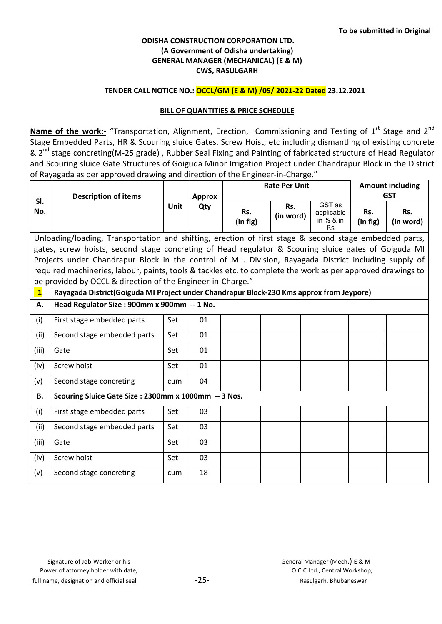# TENDER CALL NOTICE NO.: OCCL/GM (E & M) /05/ 2021-22 Dated 23.12.2021

## BILL OF QUANTITIES & PRICE SCHEDULE

Name of the work:- "Transportation, Alignment, Erection, Commissioning and Testing of 1<sup>st</sup> Stage and 2<sup>nd</sup> Stage Embedded Parts, HR & Scouring sluice Gates, Screw Hoist, etc including dismantling of existing concrete & 2<sup>nd</sup> stage concreting(M-25 grade), Rubber Seal Fixing and Painting of fabricated structure of Head Regulator and Scouring sluice Gate Structures of Goiguda Minor Irrigation Project under Chandrapur Block in the District of Rayagada as per approved drawing and direction of the Engineer-in-Charge."

|              |                                                                                                             |             |                      |                 | <b>Rate Per Unit</b> | <b>Amount including</b>                        |                 |                  |  |
|--------------|-------------------------------------------------------------------------------------------------------------|-------------|----------------------|-----------------|----------------------|------------------------------------------------|-----------------|------------------|--|
| SI.          | <b>Description of items</b>                                                                                 |             | <b>Approx</b><br>Qty |                 |                      | <b>GST</b>                                     |                 |                  |  |
| No.          |                                                                                                             | <b>Unit</b> |                      | Rs.<br>(in fig) | Rs.<br>(in word)     | GST as<br>applicable<br>in % & in<br><b>Rs</b> | Rs.<br>(in fig) | Rs.<br>(in word) |  |
|              | Unloading/loading, Transportation and shifting, erection of first stage & second stage embedded parts,      |             |                      |                 |                      |                                                |                 |                  |  |
|              | gates, screw hoists, second stage concreting of Head regulator & Scouring sluice gates of Goiguda MI        |             |                      |                 |                      |                                                |                 |                  |  |
|              | Projects under Chandrapur Block in the control of M.I. Division, Rayagada District including supply of      |             |                      |                 |                      |                                                |                 |                  |  |
|              | required machineries, labour, paints, tools & tackles etc. to complete the work as per approved drawings to |             |                      |                 |                      |                                                |                 |                  |  |
|              | be provided by OCCL & direction of the Engineer-in-Charge."                                                 |             |                      |                 |                      |                                                |                 |                  |  |
| $\mathbf{1}$ | Rayagada District(Goiguda MI Project under Chandrapur Block-230 Kms approx from Jeypore)                    |             |                      |                 |                      |                                                |                 |                  |  |
| Α.           | Head Regulator Size: 900mm x 900mm -- 1 No.                                                                 |             |                      |                 |                      |                                                |                 |                  |  |
| (i)          | First stage embedded parts                                                                                  | Set         | 01                   |                 |                      |                                                |                 |                  |  |
| (ii)         | Second stage embedded parts                                                                                 | Set         | 01                   |                 |                      |                                                |                 |                  |  |
| (iii)        | Gate                                                                                                        | Set         | 01                   |                 |                      |                                                |                 |                  |  |
| (iv)         | Screw hoist                                                                                                 | Set         | 01                   |                 |                      |                                                |                 |                  |  |
| (v)          | Second stage concreting                                                                                     | cum         | 04                   |                 |                      |                                                |                 |                  |  |
| <b>B.</b>    | Scouring Sluice Gate Size : 2300mm x 1000mm -- 3 Nos.                                                       |             |                      |                 |                      |                                                |                 |                  |  |
| (i)          | First stage embedded parts                                                                                  | Set         | 03                   |                 |                      |                                                |                 |                  |  |
| (ii)         | Second stage embedded parts                                                                                 | Set         | 03                   |                 |                      |                                                |                 |                  |  |
| (iii)        | Gate                                                                                                        | Set         | 03                   |                 |                      |                                                |                 |                  |  |
| (iv)         | Screw hoist                                                                                                 | Set         | 03                   |                 |                      |                                                |                 |                  |  |
| (v)          | Second stage concreting                                                                                     | cum         | 18                   |                 |                      |                                                |                 |                  |  |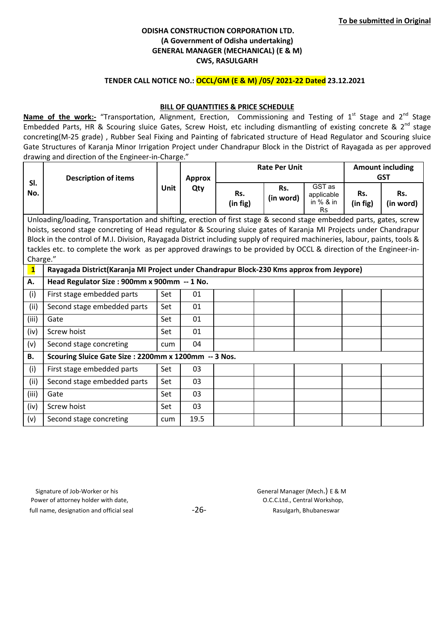### TENDER CALL NOTICE NO.: OCCL/GM (E & M) /05/ 2021-22 Dated 23.12.2021

### BILL OF QUANTITIES & PRICE SCHEDULE

Name of the work:- "Transportation, Alignment, Erection, Commissioning and Testing of 1<sup>st</sup> Stage and 2<sup>nd</sup> Stage Embedded Parts, HR & Scouring sluice Gates, Screw Hoist, etc including dismantling of existing concrete & 2<sup>nd</sup> stage concreting(M-25 grade) , Rubber Seal Fixing and Painting of fabricated structure of Head Regulator and Scouring sluice Gate Structures of Karanja Minor Irrigation Project under Chandrapur Block in the District of Rayagada as per approved drawing and direction of the Engineer-in-Charge."

|                                                                                                                   |                                                                                                                            | <b>Rate Per Unit</b> |               |                 |                  |                                                | <b>Amount including</b> |                  |  |
|-------------------------------------------------------------------------------------------------------------------|----------------------------------------------------------------------------------------------------------------------------|----------------------|---------------|-----------------|------------------|------------------------------------------------|-------------------------|------------------|--|
|                                                                                                                   | <b>Description of items</b>                                                                                                |                      | <b>Approx</b> |                 |                  |                                                |                         | <b>GST</b>       |  |
| SI.<br>No.                                                                                                        |                                                                                                                            | Unit                 | Qty           | Rs.<br>(in fig) | Rs.<br>(in word) | GST as<br>applicable<br>in % & in<br><b>Rs</b> | Rs.<br>(in fig)         | Rs.<br>(in word) |  |
|                                                                                                                   | Unloading/loading, Transportation and shifting, erection of first stage & second stage embedded parts, gates, screw        |                      |               |                 |                  |                                                |                         |                  |  |
| hoists, second stage concreting of Head regulator & Scouring sluice gates of Karanja MI Projects under Chandrapur |                                                                                                                            |                      |               |                 |                  |                                                |                         |                  |  |
|                                                                                                                   | Block in the control of M.I. Division, Rayagada District including supply of required machineries, labour, paints, tools & |                      |               |                 |                  |                                                |                         |                  |  |
|                                                                                                                   | tackles etc. to complete the work as per approved drawings to be provided by OCCL & direction of the Engineer-in-          |                      |               |                 |                  |                                                |                         |                  |  |
| Charge."                                                                                                          |                                                                                                                            |                      |               |                 |                  |                                                |                         |                  |  |
| $\mathbf{1}$                                                                                                      | Rayagada District(Karanja MI Project under Chandrapur Block-230 Kms approx from Jeypore)                                   |                      |               |                 |                  |                                                |                         |                  |  |
| А.                                                                                                                | Head Regulator Size : 900mm x 900mm -- 1 No.                                                                               |                      |               |                 |                  |                                                |                         |                  |  |
| (i)                                                                                                               | First stage embedded parts                                                                                                 | Set                  | 01            |                 |                  |                                                |                         |                  |  |
| (ii)                                                                                                              | Second stage embedded parts                                                                                                | Set                  | 01            |                 |                  |                                                |                         |                  |  |
| (iii)                                                                                                             | Gate                                                                                                                       | Set                  | 01            |                 |                  |                                                |                         |                  |  |
| (iv)                                                                                                              | Screw hoist                                                                                                                | Set                  | 01            |                 |                  |                                                |                         |                  |  |
| (v)                                                                                                               | Second stage concreting                                                                                                    | cum                  | 04            |                 |                  |                                                |                         |                  |  |
| <b>B.</b>                                                                                                         | Scouring Sluice Gate Size : 2200mm x 1200mm -- 3 Nos.                                                                      |                      |               |                 |                  |                                                |                         |                  |  |
| (i)                                                                                                               | First stage embedded parts                                                                                                 | Set                  | 03            |                 |                  |                                                |                         |                  |  |
| (ii)                                                                                                              | Second stage embedded parts                                                                                                | Set                  | 03            |                 |                  |                                                |                         |                  |  |
| (iii)                                                                                                             | Gate                                                                                                                       | Set                  | 03            |                 |                  |                                                |                         |                  |  |
| (iv)                                                                                                              | Screw hoist                                                                                                                | Set                  | 03            |                 |                  |                                                |                         |                  |  |
| (v)                                                                                                               | Second stage concreting                                                                                                    | cum                  | 19.5          |                 |                  |                                                |                         |                  |  |

 Signature of Job-Worker or his General Manager (Mech.) E & M Power of attorney holder with date,  $O.C.C.L.d.,$  Central Workshop, full name, designation and official seal  $-26-$  -26- Rasulgarh, Bhubaneswar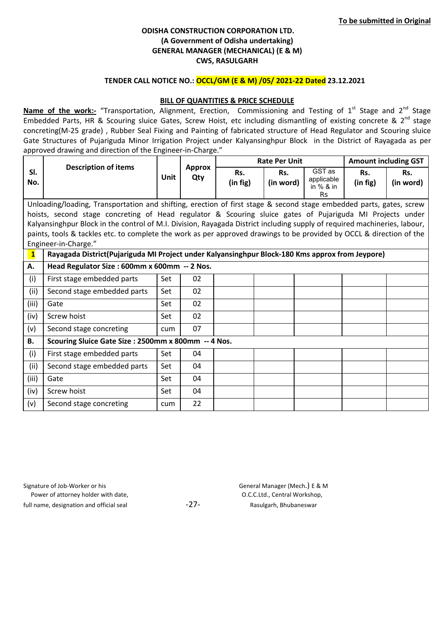#### TENDER CALL NOTICE NO.: OCCL/GM (E & M) /05/ 2021-22 Dated 23.12.2021

#### BILL OF QUANTITIES & PRICE SCHEDULE

Name of the work:- "Transportation, Alignment, Erection, Commissioning and Testing of 1<sup>st</sup> Stage and 2<sup>nd</sup> Stage Embedded Parts, HR & Scouring sluice Gates, Screw Hoist, etc including dismantling of existing concrete & 2<sup>nd</sup> stage concreting(M-25 grade) , Rubber Seal Fixing and Painting of fabricated structure of Head Regulator and Scouring sluice Gate Structures of Pujariguda Minor Irrigation Project under Kalyansinghpur Block in the District of Rayagada as per approved drawing and direction of the Engineer-in-Charge."

|              |                                                                                                                           |      |                      |          | <b>Rate Per Unit</b> | <b>Amount including GST</b> |          |           |  |
|--------------|---------------------------------------------------------------------------------------------------------------------------|------|----------------------|----------|----------------------|-----------------------------|----------|-----------|--|
| SI.          | <b>Description of items</b>                                                                                               | Unit | <b>Approx</b><br>Qty | Rs.      | Rs.                  | GST as                      | Rs.      | Rs.       |  |
| No.          |                                                                                                                           |      |                      | (in fig) | (in word)            | applicable<br>in $%$ & in   | (in fig) | (in word) |  |
|              |                                                                                                                           |      |                      |          |                      | <b>Rs</b>                   |          |           |  |
|              | Unloading/loading, Transportation and shifting, erection of first stage & second stage embedded parts, gates, screw       |      |                      |          |                      |                             |          |           |  |
|              | hoists, second stage concreting of Head regulator & Scouring sluice gates of Pujariguda MI Projects under                 |      |                      |          |                      |                             |          |           |  |
|              | Kalyansinghpur Block in the control of M.I. Division, Rayagada District including supply of required machineries, labour, |      |                      |          |                      |                             |          |           |  |
|              | paints, tools & tackles etc. to complete the work as per approved drawings to be provided by OCCL & direction of the      |      |                      |          |                      |                             |          |           |  |
|              | Engineer-in-Charge."                                                                                                      |      |                      |          |                      |                             |          |           |  |
| $\mathbf{1}$ | Rayagada District(Pujariguda MI Project under Kalyansinghpur Block-180 Kms approx from Jeypore)                           |      |                      |          |                      |                             |          |           |  |
| А.           | Head Regulator Size : 600mm x 600mm -- 2 Nos.                                                                             |      |                      |          |                      |                             |          |           |  |
| (i)          | First stage embedded parts                                                                                                | Set  | 02                   |          |                      |                             |          |           |  |
| (ii)         | Second stage embedded parts                                                                                               | Set  | 02                   |          |                      |                             |          |           |  |
| (iii)        | Gate                                                                                                                      | Set  | 02                   |          |                      |                             |          |           |  |
| (iv)         | Screw hoist                                                                                                               | Set  | 02                   |          |                      |                             |          |           |  |
| (v)          | Second stage concreting                                                                                                   | cum  | 07                   |          |                      |                             |          |           |  |
| <b>B.</b>    | Scouring Sluice Gate Size: 2500mm x 800mm -- 4 Nos.                                                                       |      |                      |          |                      |                             |          |           |  |
| (i)          | First stage embedded parts                                                                                                | Set  | 04                   |          |                      |                             |          |           |  |
| (ii)         | Second stage embedded parts                                                                                               | Set  | 04                   |          |                      |                             |          |           |  |
| (iii)        | Gate                                                                                                                      | Set  | 04                   |          |                      |                             |          |           |  |
| (iv)         | Screw hoist                                                                                                               | Set  | 04                   |          |                      |                             |          |           |  |
| (v)          | Second stage concreting                                                                                                   | cum  | 22                   |          |                      |                             |          |           |  |

| Signature of Job-Worker or his           |
|------------------------------------------|
| Power of attorney holder with date,      |
| full name, designation and official seal |

General Manager (Mech.) E & M O.C.C.Ltd., Central Workshop, -27- Rasulgarh, Bhubaneswar